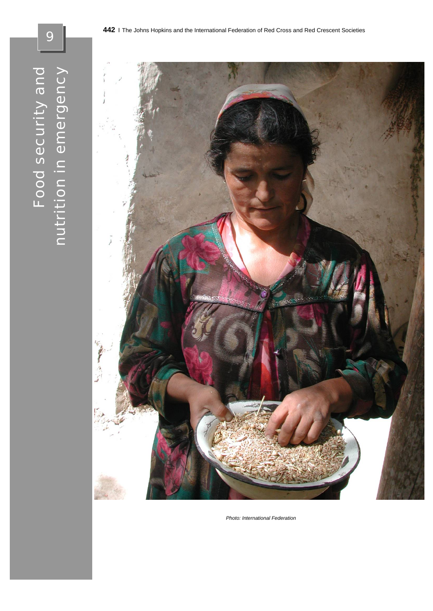9



*Photo: International Federation*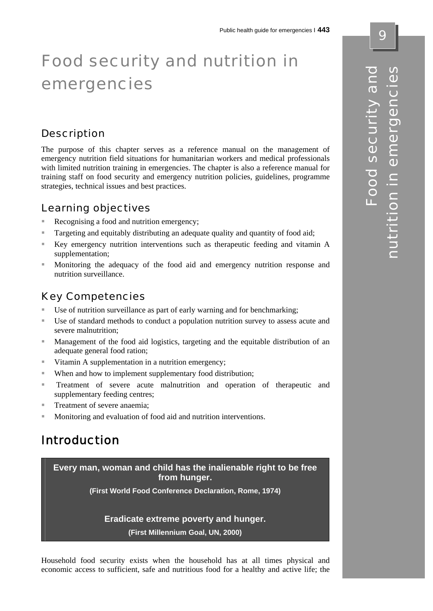# Food security and nutrition in emergencies

## **Description**

The purpose of this chapter serves as a reference manual on the management of emergency nutrition field situations for humanitarian workers and medical professionals with limited nutrition training in emergencies. The chapter is also a reference manual for training staff on food security and emergency nutrition policies, guidelines, programme strategies, technical issues and best practices.

### Learning objectives

- Recognising a food and nutrition emergency;
- Targeting and equitably distributing an adequate quality and quantity of food aid;
- Key emergency nutrition interventions such as therapeutic feeding and vitamin A supplementation;
- Monitoring the adequacy of the food aid and emergency nutrition response and nutrition surveillance.

## Key Competencies

- Use of nutrition surveillance as part of early warning and for benchmarking;
- Use of standard methods to conduct a population nutrition survey to assess acute and severe malnutrition;
- Management of the food aid logistics, targeting and the equitable distribution of an adequate general food ration;
- Vitamin A supplementation in a nutrition emergency;
- When and how to implement supplementary food distribution;
- **Treatment** of severe acute malnutrition and operation of therapeutic and supplementary feeding centres;
- Treatment of severe anaemia:
- Monitoring and evaluation of food aid and nutrition interventions.

# Introduction

**Every man, woman and child has the inalienable right to be free from hunger.** 

**(First World Food Conference Declaration, Rome, 1974)** 

#### **Eradicate extreme poverty and hunger.**

**(First Millennium Goal, UN, 2000)**

Household food security exists when the household has at all times physical and economic access to sufficient, safe and nutritious food for a healthy and active life; the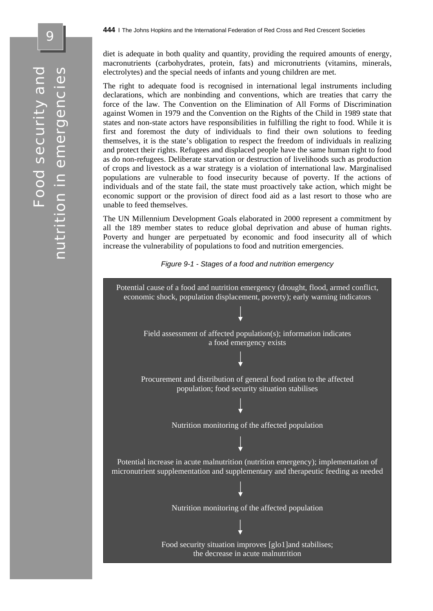diet is adequate in both quality and quantity, providing the required amounts of energy, macronutrients (carbohydrates, protein, fats) and micronutrients (vitamins, minerals, electrolytes) and the special needs of infants and young children are met.

The right to adequate food is recognised in international legal instruments including declarations, which are nonbinding and conventions, which are treaties that carry the force of the law. The Convention on the Elimination of All Forms of Discrimination against Women in 1979 and the Convention on the Rights of the Child in 1989 state that states and non-state actors have responsibilities in fulfilling the right to food. While it is first and foremost the duty of individuals to find their own solutions to feeding themselves, it is the state's obligation to respect the freedom of individuals in realizing and protect their rights. Refugees and displaced people have the same human right to food as do non-refugees. Deliberate starvation or destruction of livelihoods such as production of crops and livestock as a war strategy is a violation of international law. Marginalised populations are vulnerable to food insecurity because of poverty. If the actions of individuals and of the state fail, the state must proactively take action, which might be economic support or the provision of direct food aid as a last resort to those who are unable to feed themselves.

The UN Millennium Development Goals elaborated in 2000 represent a commitment by all the 189 member states to reduce global deprivation and abuse of human rights. Poverty and hunger are perpetuated by economic and food insecurity all of which increase the vulnerability of populations to food and nutrition emergencies.

*Figure 9-1 - Stages of a food and nutrition emergency* 

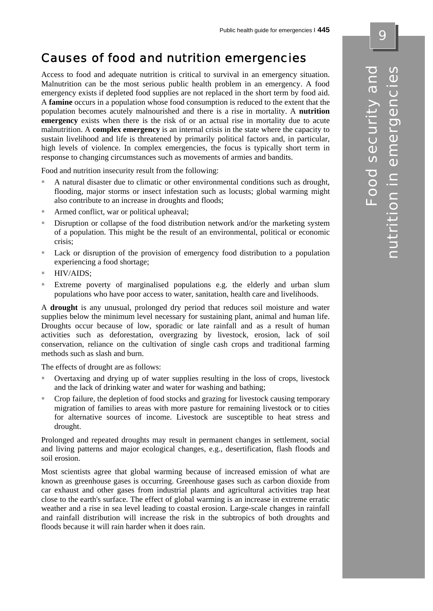# Causes of food and nutrition emergencies

Access to food and adequate nutrition is critical to survival in an emergency situation. Malnutrition can be the most serious public health problem in an emergency. A food emergency exists if depleted food supplies are not replaced in the short term by food aid. A **famine** occurs in a population whose food consumption is reduced to the extent that the population becomes acutely malnourished and there is a rise in mortality. A **nutrition emergency** exists when there is the risk of or an actual rise in mortality due to acute malnutrition. A **complex emergency** is an internal crisis in the state where the capacity to sustain livelihood and life is threatened by primarily political factors and, in particular, high levels of violence. In complex emergencies, the focus is typically short term in response to changing circumstances such as movements of armies and bandits.

Food and nutrition insecurity result from the following:

- A natural disaster due to climatic or other environmental conditions such as drought, flooding, major storms or insect infestation such as locusts; global warming might also contribute to an increase in droughts and floods;
- Armed conflict, war or political upheaval;
- **Disruption or collapse of the food distribution network and/or the marketing system** of a population. This might be the result of an environmental, political or economic crisis;
- Lack or disruption of the provision of emergency food distribution to a population experiencing a food shortage;
- $HIV/AIDS$ :
- Extreme poverty of marginalised populations e.g. the elderly and urban slum populations who have poor access to water, sanitation, health care and livelihoods.

A **drought** is any unusual, prolonged dry period that reduces soil moisture and water supplies below the minimum level necessary for sustaining plant, animal and human life. Droughts occur because of low, sporadic or late rainfall and as a result of human activities such as deforestation, overgrazing by livestock, erosion, lack of soil conservation, reliance on the cultivation of single cash crops and traditional farming methods such as slash and burn.

The effects of drought are as follows:

- Overtaxing and drying up of water supplies resulting in the loss of crops, livestock and the lack of drinking water and water for washing and bathing;
- Crop failure, the depletion of food stocks and grazing for livestock causing temporary migration of families to areas with more pasture for remaining livestock or to cities for alternative sources of income. Livestock are susceptible to heat stress and drought.

Prolonged and repeated droughts may result in permanent changes in settlement, social and living patterns and major ecological changes, e.g., desertification, flash floods and soil erosion.

Most scientists agree that global warming because of increased emission of what are known as greenhouse gases is occurring. Greenhouse gases such as carbon dioxide from car exhaust and other gases from industrial plants and agricultural activities trap heat close to the earth's surface. The effect of global warming is an increase in extreme erratic weather and a rise in sea level leading to coastal erosion. Large-scale changes in rainfall and rainfall distribution will increase the risk in the subtropics of both droughts and floods because it will rain harder when it does rain.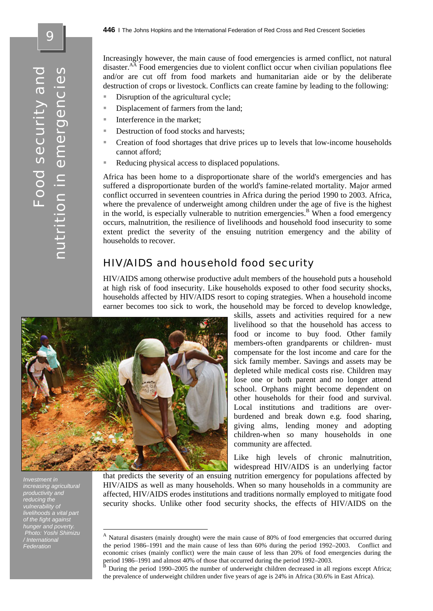Increasingly however, the main cause of food emergencies is armed conflict, not natural disaster.<sup>AA</sup> Food emergencies due to violent conflict occur when civilian populations flee and/or are cut off from food markets and humanitarian aide or by the deliberate destruction of crops or livestock. Conflicts can create famine by leading to the following:

- Disruption of the agricultural cycle;
- Displacement of farmers from the land;
- $\blacksquare$  Interference in the market;
- Destruction of food stocks and harvests;
- Creation of food shortages that drive prices up to levels that low-income households cannot afford;
- Reducing physical access to displaced populations.

Africa has been home to a disproportionate share of the world's emergencies and has suffered a disproportionate burden of the world's famine-related mortality. Major armed conflict occurred in seventeen countries in Africa during the period 1990 to 2003. Africa, where the prevalence of underweight among children under the age of five is the highest in the world, is especially vulnerable to nutrition emergencies.<sup>B</sup> When a food emergency occurs, malnutrition, the resilience of livelihoods and household food insecurity to some extent predict the severity of the ensuing nutrition emergency and the ability of households to recover.

### HIV/AIDS and household food security

HIV/AIDS among otherwise productive adult members of the household puts a household at high risk of food insecurity. Like households exposed to other food security shocks, households affected by HIV/AIDS resort to coping strategies. When a household income earner becomes too sick to work, the household may be forced to develop knowledge,



1

*Investment in increasing agricultural productivity and reducing the vulnerability of livelihoods a vital part of the fight against hunger and poverty. Photo: Yoshi Shimizu / International Federation* 

livelihood so that the household has access to food or income to buy food. Other family members-often grandparents or children- must compensate for the lost income and care for the sick family member. Savings and assets may be depleted while medical costs rise. Children may lose one or both parent and no longer attend school. Orphans might become dependent on other households for their food and survival. Local institutions and traditions are overburdened and break down e.g. food sharing, giving alms, lending money and adopting children-when so many households in one community are affected.

skills, assets and activities required for a new

Like high levels of chronic malnutrition, widespread HIV/AIDS is an underlying factor

that predicts the severity of an ensuing nutrition emergency for populations affected by HIV/AIDS as well as many households. When so many households in a community are affected, HIV/AIDS erodes institutions and traditions normally employed to mitigate food security shocks. Unlike other food security shocks, the effects of HIV/AIDS on the

<sup>A</sup> Natural disasters (mainly drought) were the main cause of 80% of food emergencies that occurred during the period 1986*–*1991 and the main cause of less than 60% during the period 1992*–*2003. Conflict and economic crises (mainly conflict) were the main cause of less than 20% of food emergencies during the period 1986*–*1991 and almost 40% of those that occurred during the period 1992*–*2003. <sup>B</sup> During the period 1990*–*2005 the number of underweight children decreased in all regions except Africa;

the prevalence of underweight children under five years of age is 24% in Africa (30.6% in East Africa).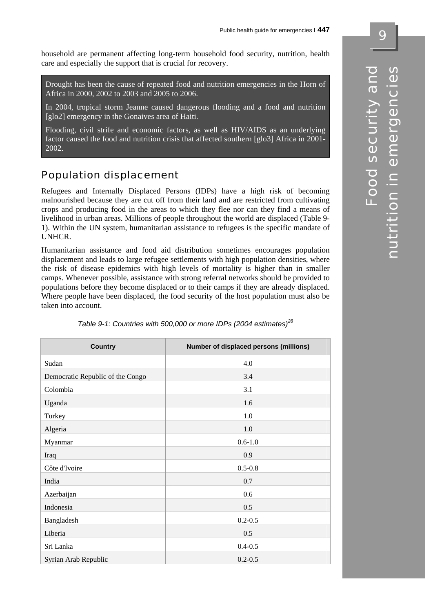household are permanent affecting long-term household food security, nutrition, health care and especially the support that is crucial for recovery.

Drought has been the cause of repeated food and nutrition emergencies in the Horn of Africa in 2000, 2002 to 2003 and 2005 to 2006.

In 2004, tropical storm Jeanne caused dangerous flooding and a food and nutrition [glo2] emergency in the Gonaives area of Haiti.

Flooding, civil strife and economic factors, as well as HIV/AIDS as an underlying factor caused the food and nutrition crisis that affected southern [glo3] Africa in 2001- 2002.

# Population displacement

Refugees and Internally Displaced Persons (IDPs) have a high risk of becoming malnourished because they are cut off from their land and are restricted from cultivating crops and producing food in the areas to which they flee nor can they find a means of livelihood in urban areas. Millions of people throughout the world are displaced (Table 9- 1). Within the UN system, humanitarian assistance to refugees is the specific mandate of UNHCR.

Humanitarian assistance and food aid distribution sometimes encourages population displacement and leads to large refugee settlements with high population densities, where the risk of disease epidemics with high levels of mortality is higher than in smaller camps. Whenever possible, assistance with strong referral networks should be provided to populations before they become displaced or to their camps if they are already displaced. Where people have been displaced, the food security of the host population must also be taken into account.

| <b>Country</b>                   | Number of displaced persons (millions) |
|----------------------------------|----------------------------------------|
| Sudan                            | 4.0                                    |
| Democratic Republic of the Congo | 3.4                                    |
| Colombia                         | 3.1                                    |
| Uganda                           | 1.6                                    |
| Turkey                           | 1.0                                    |
| Algeria                          | 1.0                                    |
| Myanmar                          | $0.6 - 1.0$                            |
| Iraq                             | 0.9                                    |
| Côte d'Ivoire                    | $0.5 - 0.8$                            |
| India                            | 0.7                                    |
| Azerbaijan                       | 0.6                                    |
| Indonesia                        | 0.5                                    |
| Bangladesh                       | $0.2 - 0.5$                            |
| Liberia                          | 0.5                                    |
| Sri Lanka                        | $0.4 - 0.5$                            |
| Syrian Arab Republic             | $0.2 - 0.5$                            |

*Table 9-1: Countries with 500,000 or more IDPs (2004 estimates)<sup>28</sup>*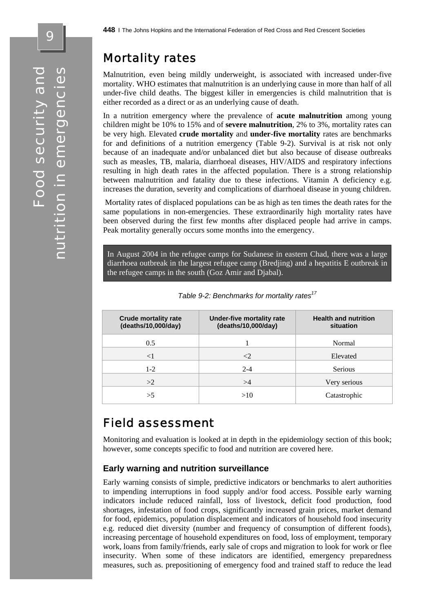9

# Mortality rates

Malnutrition, even being mildly underweight, is associated with increased under-five mortality. WHO estimates that malnutrition is an underlying cause in more than half of all under-five child deaths. The biggest killer in emergencies is child malnutrition that is either recorded as a direct or as an underlying cause of death.

In a nutrition emergency where the prevalence of **acute malnutrition** among young children might be 10% to 15% and of **severe malnutrition**, 2% to 3%, mortality rates can be very high. Elevated **crude mortality** and **under-five mortality** rates are benchmarks for and definitions of a nutrition emergency (Table 9-2). Survival is at risk not only because of an inadequate and/or unbalanced diet but also because of disease outbreaks such as measles, TB, malaria, diarrhoeal diseases, HIV/AIDS and respiratory infections resulting in high death rates in the affected population. There is a strong relationship between malnutrition and fatality due to these infections. Vitamin A deficiency e.g. increases the duration, severity and complications of diarrhoeal disease in young children.

 Mortality rates of displaced populations can be as high as ten times the death rates for the same populations in non-emergencies. These extraordinarily high mortality rates have been observed during the first few months after displaced people had arrive in camps. Peak mortality generally occurs some months into the emergency.

In August 2004 in the refugee camps for Sudanese in eastern Chad, there was a large diarrhoea outbreak in the largest refugee camp (Bredjing) and a hepatitis E outbreak in the refugee camps in the south (Goz Amir and Djabal).

| <b>Crude mortality rate</b><br>(deaths/10,000/day) | Under-five mortality rate<br>(deaths/10,000/day) | <b>Health and nutrition</b><br>situation |
|----------------------------------------------------|--------------------------------------------------|------------------------------------------|
| 0.5                                                |                                                  | Normal                                   |
| $<$ $\overline{ }$                                 | ${<}2$                                           | Elevated                                 |
| $1 - 2$                                            | $2 - 4$                                          | <b>Serious</b>                           |
| >2                                                 | >4                                               | Very serious                             |
| >5                                                 | >10                                              | Catastrophic                             |

| Table 9-2: Benchmarks for mortality rates <sup>17</sup> |
|---------------------------------------------------------|
|---------------------------------------------------------|

# Field assessment

Monitoring and evaluation is looked at in depth in the epidemiology section of this book; however, some concepts specific to food and nutrition are covered here.

#### **Early warning and nutrition surveillance**

Early warning consists of simple, predictive indicators or benchmarks to alert authorities to impending interruptions in food supply and/or food access. Possible early warning indicators include reduced rainfall, loss of livestock, deficit food production, food shortages, infestation of food crops, significantly increased grain prices, market demand for food, epidemics, population displacement and indicators of household food insecurity e.g. reduced diet diversity (number and frequency of consumption of different foods), increasing percentage of household expenditures on food, loss of employment, temporary work, loans from family/friends, early sale of crops and migration to look for work or flee insecurity. When some of these indicators are identified, emergency preparedness measures, such as. prepositioning of emergency food and trained staff to reduce the lead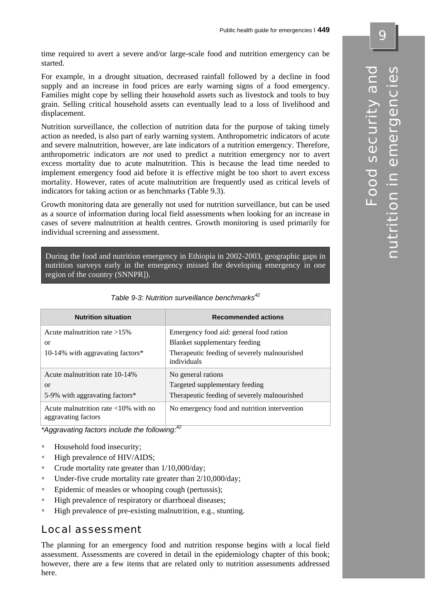time required to avert a severe and/or large-scale food and nutrition emergency can be started.

For example, in a drought situation, decreased rainfall followed by a decline in food supply and an increase in food prices are early warning signs of a food emergency. Families might cope by selling their household assets such as livestock and tools to buy grain. Selling critical household assets can eventually lead to a loss of livelihood and displacement.

Nutrition surveillance, the collection of nutrition data for the purpose of taking timely action as needed, is also part of early warning system. Anthropometric indicators of acute and severe malnutrition, however, are late indicators of a nutrition emergency. Therefore, anthropometric indicators are *not* used to predict a nutrition emergency nor to avert excess mortality due to acute malnutrition. This is because the lead time needed to implement emergency food aid before it is effective might be too short to avert excess mortality. However, rates of acute malnutrition are frequently used as critical levels of indicators for taking action or as benchmarks (Table 9.3).

Growth monitoring data are generally not used for nutrition surveillance, but can be used as a source of information during local field assessments when looking for an increase in cases of severe malnutrition at health centres. Growth monitoring is used primarily for individual screening and assessment.

During the food and nutrition emergency in Ethiopia in 2002-2003, geographic gaps in nutrition surveys early in the emergency missed the developing emergency in one region of the country (SNNPR]).

| <b>Nutrition situation</b>                                            | <b>Recommended actions</b>                                  |
|-----------------------------------------------------------------------|-------------------------------------------------------------|
| Acute malnutrition rate $>15\%$                                       | Emergency food aid: general food ration                     |
| or                                                                    | Blanket supplementary feeding                               |
| 10-14% with aggravating factors*                                      | Therapeutic feeding of severely malnourished<br>individuals |
| Acute malnutrition rate 10-14%                                        | No general rations                                          |
| <b>or</b>                                                             | Targeted supplementary feeding                              |
| 5-9% with aggravating factors*                                        | Therapeutic feeding of severely malnourished                |
| Acute malnutrition rate $\langle 10\%$ with no<br>aggravating factors | No emergency food and nutrition intervention                |

|  | Table 9-3: Nutrition surveillance benchmarks <sup>42</sup> |  |  |  |  |
|--|------------------------------------------------------------|--|--|--|--|
|--|------------------------------------------------------------|--|--|--|--|

*\*Aggravating factors include the following:42*

- Household food insecurity;
- $\blacksquare$  High prevalence of HIV/AIDS;
- $\blacksquare$  Crude mortality rate greater than  $1/10.000/\text{day}$ ;
- $\blacksquare$  Under-five crude mortality rate greater than 2/10,000/day;
- Epidemic of measles or whooping cough (pertussis);
- **High prevalence of respiratory or diarrhoeal diseases;**
- High prevalence of pre-existing malnutrition, e.g., stunting.

### Local assessment

The planning for an emergency food and nutrition response begins with a local field assessment. Assessments are covered in detail in the epidemiology chapter of this book; however, there are a few items that are related only to nutrition assessments addressed here.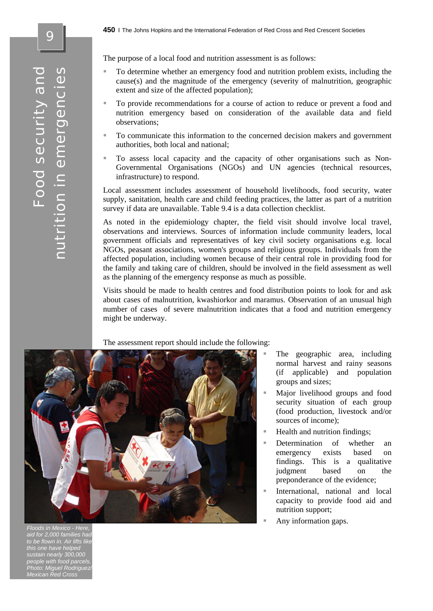The purpose of a local food and nutrition assessment is as follows:

- To determine whether an emergency food and nutrition problem exists, including the cause(s) and the magnitude of the emergency (severity of malnutrition, geographic extent and size of the affected population);
- To provide recommendations for a course of action to reduce or prevent a food and nutrition emergency based on consideration of the available data and field observations;
- To communicate this information to the concerned decision makers and government authorities, both local and national;
- To assess local capacity and the capacity of other organisations such as Non-Governmental Organisations (NGOs) and UN agencies (technical resources, infrastructure) to respond.

Local assessment includes assessment of household livelihoods, food security, water supply, sanitation, health care and child feeding practices, the latter as part of a nutrition survey if data are unavailable. Table 9.4 is a data collection checklist.

As noted in the epidemiology chapter, the field visit should involve local travel, observations and interviews. Sources of information include community leaders, local government officials and representatives of key civil society organisations e.g. local NGOs, peasant associations, women's groups and religious groups. Individuals from the affected population, including women because of their central role in providing food for the family and taking care of children, should be involved in the field assessment as well as the planning of the emergency response as much as possible.

Visits should be made to health centres and food distribution points to look for and ask about cases of malnutrition, kwashiorkor and maramus. Observation of an unusual high number of cases of severe malnutrition indicates that a food and nutrition emergency might be underway.

The assessment report should include the following:



- The geographic area, including normal harvest and rainy seasons (if applicable) and population groups and sizes;
- Major livelihood groups and food security situation of each group (food production, livestock and/or sources of income);
- Health and nutrition findings;
- Determination of whether an emergency exists based on findings. This is a qualitative judgment based on the preponderance of the evidence;
- International, national and local capacity to provide food aid and nutrition support;
- Any information gaps.

Food security and

Food security and

nutrition in emergencies

utrition in emergencies

*Floods in Mexico - Here, aid for 2,000 families had to be flown in. Air lifts like this one have helped sustain nearly 300,000 people with food parcels. Photo: Miguel Rodriguez/ Mexican Red Cross*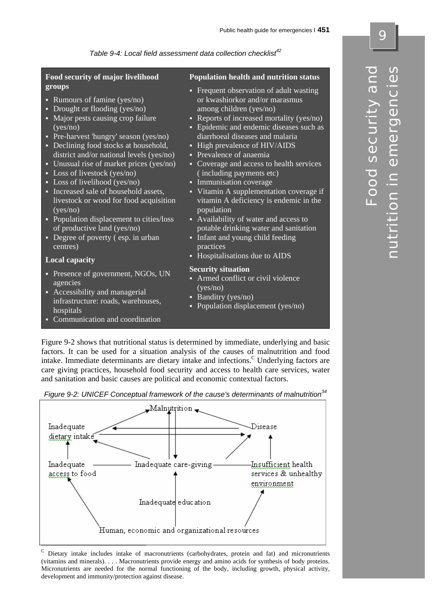*Table 9-4: Local field assessment data collection checklist42* 

| Food security of major livelihood<br>groups                                                                                                                                                                                                                                                                                                                                                                                                                                                                                                                                                                         | <b>Population health and nutrition status</b>                                                                                                                                                                                                                                                                                                                                                                                                                                                                                                                                                                                              |
|---------------------------------------------------------------------------------------------------------------------------------------------------------------------------------------------------------------------------------------------------------------------------------------------------------------------------------------------------------------------------------------------------------------------------------------------------------------------------------------------------------------------------------------------------------------------------------------------------------------------|--------------------------------------------------------------------------------------------------------------------------------------------------------------------------------------------------------------------------------------------------------------------------------------------------------------------------------------------------------------------------------------------------------------------------------------------------------------------------------------------------------------------------------------------------------------------------------------------------------------------------------------------|
| Rumours of famine (yes/no)<br>¢<br>Drought or flooding (yes/no)<br>◘<br>Major pests causing crop failure<br>□<br>(yes/no)<br>Pre-harvest 'hungry' season (yes/no)<br>◘<br>Declining food stocks at household,<br>◘<br>district and/or national levels (yes/no)<br>Unusual rise of market prices (yes/no)<br>◘<br>Loss of livestock (yes/no)<br>◘<br>• Loss of livelihood (yes/no)<br>Increased sale of household assets,<br>◘<br>livestock or wood for food acquisition<br>(yes/no)<br>• Population displacement to cities/loss<br>of productive land (yes/no)<br>Degree of poverty (esp. in urban<br>◘<br>centres) | • Frequent observation of adult wasting<br>or kwashiorkor and/or marasmus<br>among children (yes/no)<br>• Reports of increased mortality (yes/no)<br>• Epidemic and endemic diseases such as<br>diarrhoeal diseases and malaria<br>High prevalence of HIV/AIDS<br>◘<br>• Prevalence of anaemia<br>• Coverage and access to health services<br>(including payments etc)<br>Immunisation coverage<br>π<br>• Vitamin A supplementation coverage if<br>vitamin A deficiency is endemic in the<br>population<br>• Availability of water and access to<br>potable drinking water and sanitation<br>• Infant and young child feeding<br>practices |
| <b>Local capacity</b>                                                                                                                                                                                                                                                                                                                                                                                                                                                                                                                                                                                               | • Hospitalisations due to AIDS                                                                                                                                                                                                                                                                                                                                                                                                                                                                                                                                                                                                             |
| Presence of government, NGOs, UN<br>Ξ<br>agencies<br>Accessibility and managerial<br>◘<br>infrastructure: roads, warehouses,<br>hospitals<br>• Communication and coordination                                                                                                                                                                                                                                                                                                                                                                                                                                       | <b>Security situation</b><br>Armed conflict or civil violence<br>(yes/no)<br>Banditry (yes/no)<br>۸<br>Population displacement (yes/no)                                                                                                                                                                                                                                                                                                                                                                                                                                                                                                    |

Figure 9-2 shows that nutritional status is determined by immediate, underlying and basic factors. It can be used for a situation analysis of the causes of malnutrition and food intake. Immediate determinants are dietary intake and infections.<sup>C</sup> Underlying factors are care giving practices, household food security and access to health care services, water and sanitation and basic causes are political and economic contextual factors.

*Figure 9-2: UNICEF Conceptual framework of the cause's determinants of malnutrition34* 



<sup>C</sup> Dietary intake includes intake of macronutrients (carbohydrates, protein and fat) and micronutrients (vitamins and minerals). . . . Macronutrients provide energy and amino acids for synthesis of body proteins. Micronutrients are needed for the normal functioning of the body, including growth, physical activity, development and immunity/protection against disease.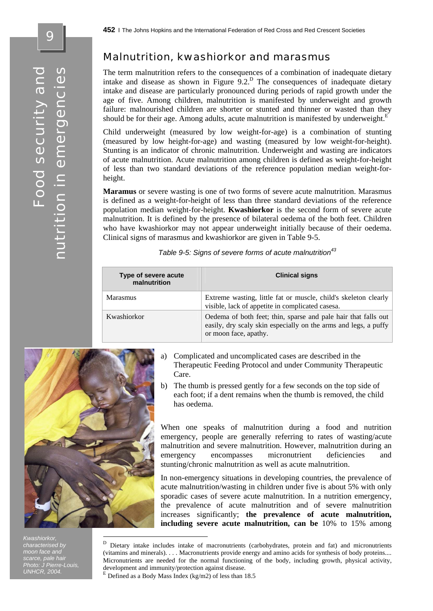#### Malnutrition, kwashiorkor and marasmus

The term malnutrition refers to the consequences of a combination of inadequate dietary intake and disease as shown in Figure  $9.2<sup>D</sup>$ . The consequences of inadequate dietary intake and disease are particularly pronounced during periods of rapid growth under the age of five. Among children, malnutrition is manifested by underweight and growth failure: malnourished children are shorter or stunted and thinner or wasted than they should be for their age. Among adults, acute malnutrition is manifested by underweight.<sup>E</sup> i.

Child underweight (measured by low weight-for-age) is a combination of stunting (measured by low height-for-age) and wasting (measured by low weight-for-height). Stunting is an indicator of chronic malnutrition. Underweight and wasting are indicators of acute malnutrition. Acute malnutrition among children is defined as weight-for-height of less than two standard deviations of the reference population median weight-forheight.

**Maramus** or severe wasting is one of two forms of severe acute malnutrition. Marasmus is defined as a weight-for-height of less than three standard deviations of the reference population median weight-for-height. **Kwashiorkor** is the second form of severe acute malnutrition. It is defined by the presence of bilateral oedema of the both feet. Children who have kwashiorkor may not appear underweight initially because of their oedema. Clinical signs of marasmus and kwashiorkor are given in Table 9-5.

|  |  |  |  |  |  | Table 9-5: Signs of severe forms of acute malnutrition <sup>43</sup> |  |
|--|--|--|--|--|--|----------------------------------------------------------------------|--|
|--|--|--|--|--|--|----------------------------------------------------------------------|--|

| Type of severe acute<br>malnutrition | <b>Clinical signs</b>                                                                                                                                      |
|--------------------------------------|------------------------------------------------------------------------------------------------------------------------------------------------------------|
| Marasmus                             | Extreme wasting, little fat or muscle, child's skeleton clearly<br>visible, lack of appetite in complicated casesa.                                        |
| Kwashiorkor                          | Oedema of both feet; thin, sparse and pale hair that falls out<br>easily, dry scaly skin especially on the arms and legs, a puffy<br>or moon face, apathy. |



1

*Kwashiorkor, characterised by moon face and scarce, pale hair Photo: J Pierre-Louis, UNHCR, 2004.* 

- a) Complicated and uncomplicated cases are described in the Therapeutic Feeding Protocol and under Community Therapeutic Care.
- b) The thumb is pressed gently for a few seconds on the top side of each foot; if a dent remains when the thumb is removed, the child has oedema.

When one speaks of malnutrition during a food and nutrition emergency, people are generally referring to rates of wasting/acute malnutrition and severe malnutrition. However, malnutrition during an emergency encompasses micronutrient deficiencies and stunting/chronic malnutrition as well as acute malnutrition.

In non-emergency situations in developing countries, the prevalence of acute malnutrition/wasting in children under five is about 5% with only sporadic cases of severe acute malnutrition. In a nutrition emergency, the prevalence of acute malnutrition and of severe malnutrition increases significantly; **the prevalence of acute malnutrition, including severe acute malnutrition, can be** 10% to 15% among

<sup>D</sup> Dietary intake includes intake of macronutrients (carbohydrates, protein and fat) and micronutrients (vitamins and minerals). . . . Macronutrients provide energy and amino acids for synthesis of body proteins.... Micronutrients are needed for the normal functioning of the body, including growth, physical activity, development and immunity/protection against disease. E Defined as a Body Mass Index (kg/m2) of less than 18.5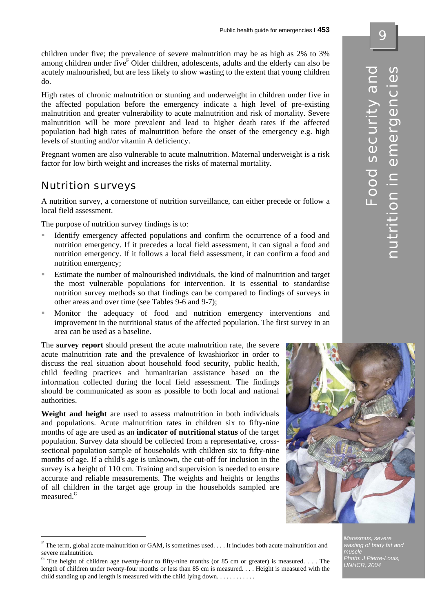children under five; the prevalence of severe malnutrition may be as high as 2% to 3% among children under five<sup>F</sup> Older children, adolescents, adults and the elderly can also be acutely malnourished, but are less likely to show wasting to the extent that young children do.

High rates of chronic malnutrition or stunting and underweight in children under five in the affected population before the emergency indicate a high level of pre-existing malnutrition and greater vulnerability to acute malnutrition and risk of mortality. Severe malnutrition will be more prevalent and lead to higher death rates if the affected population had high rates of malnutrition before the onset of the emergency e.g. high levels of stunting and/or vitamin A deficiency.

Pregnant women are also vulnerable to acute malnutrition. Maternal underweight is a risk factor for low birth weight and increases the risks of maternal mortality.

### Nutrition surveys

 $\overline{a}$ 

A nutrition survey, a cornerstone of nutrition surveillance, can either precede or follow a local field assessment.

The purpose of nutrition survey findings is to:

- Identify emergency affected populations and confirm the occurrence of a food and nutrition emergency. If it precedes a local field assessment, it can signal a food and nutrition emergency. If it follows a local field assessment, it can confirm a food and nutrition emergency;
- Estimate the number of malnourished individuals, the kind of malnutrition and target the most vulnerable populations for intervention. It is essential to standardise nutrition survey methods so that findings can be compared to findings of surveys in other areas and over time (see Tables 9-6 and 9-7);
- Monitor the adequacy of food and nutrition emergency interventions and improvement in the nutritional status of the affected population. The first survey in an area can be used as a baseline.

The **survey report** should present the acute malnutrition rate, the severe acute malnutrition rate and the prevalence of kwashiorkor in order to discuss the real situation about household food security, public health, child feeding practices and humanitarian assistance based on the information collected during the local field assessment. The findings should be communicated as soon as possible to both local and national authorities.

**Weight and height** are used to assess malnutrition in both individuals and populations. Acute malnutrition rates in children six to fifty-nine months of age are used as an **indicator of nutritional status** of the target population. Survey data should be collected from a representative, crosssectional population sample of households with children six to fifty-nine months of age. If a child's age is unknown, the cut-off for inclusion in the survey is a height of 110 cm. Training and supervision is needed to ensure accurate and reliable measurements. The weights and heights or lengths of all children in the target age group in the households sampled are measured.<sup>G</sup>

 $G$  The height of children age twenty-four to fifty-nine months (or 85 cm or greater) is measured. . . . The length of children under twenty-four months or less than 85 cm is measured. . . . Height is measured with the child standing up and length is measured with the child lying down. . . . . . . . . . . .



 $F$  The term, global acute malnutrition or GAM, is sometimes used. . . . It includes both acute malnutrition and severe malnutrition.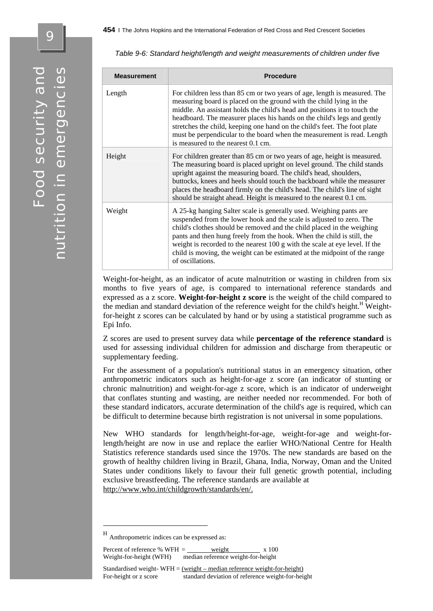| <b>Measurement</b> | <b>Procedure</b>                                                                                                                                                                                                                                                                                                                                                                                                                                                                                       |
|--------------------|--------------------------------------------------------------------------------------------------------------------------------------------------------------------------------------------------------------------------------------------------------------------------------------------------------------------------------------------------------------------------------------------------------------------------------------------------------------------------------------------------------|
| Length             | For children less than 85 cm or two years of age, length is measured. The<br>measuring board is placed on the ground with the child lying in the<br>middle. An assistant holds the child's head and positions it to touch the<br>headboard. The measurer places his hands on the child's legs and gently<br>stretches the child, keeping one hand on the child's feet. The foot plate<br>must be perpendicular to the board when the measurement is read. Length<br>is measured to the nearest 0.1 cm. |
| Height             | For children greater than 85 cm or two years of age, height is measured.<br>The measuring board is placed upright on level ground. The child stands<br>upright against the measuring board. The child's head, shoulders,<br>buttocks, knees and heels should touch the backboard while the measurer<br>places the headboard firmly on the child's head. The child's line of sight<br>should be straight ahead. Height is measured to the nearest 0.1 cm.                                               |
| Weight             | A 25-kg hanging Salter scale is generally used. Weighing pants are<br>suspended from the lower hook and the scale is adjusted to zero. The<br>child's clothes should be removed and the child placed in the weighing<br>pants and then hung freely from the hook. When the child is still, the<br>weight is recorded to the nearest 100 g with the scale at eye level. If the<br>child is moving, the weight can be estimated at the midpoint of the range<br>of oscillations.                         |

*Table 9-6: Standard height/length and weight measurements of children under five* 

Weight-for-height, as an indicator of acute malnutrition or wasting in children from six months to five years of age, is compared to international reference standards and expressed as a z score. **Weight-for-height z score** is the weight of the child compared to the median and standard deviation of the reference weight for the child's height.<sup>H</sup> Weightfor-height z scores can be calculated by hand or by using a statistical programme such as Epi Info.

Z scores are used to present survey data while **percentage of the reference standard** is used for assessing individual children for admission and discharge from therapeutic or supplementary feeding.

For the assessment of a population's nutritional status in an emergency situation, other anthropometric indicators such as height-for-age z score (an indicator of stunting or chronic malnutrition) and weight-for-age z score, which is an indicator of underweight that conflates stunting and wasting, are neither needed nor recommended. For both of these standard indicators, accurate determination of the child's age is required, which can be difficult to determine because birth registration is not universal in some populations.

New WHO standards for length/height-for-age, weight-for-age and weight-forlength/height are now in use and replace the earlier WHO/National Centre for Health Statistics reference standards used since the 1970s. The new standards are based on the growth of healthy children living in Brazil, Ghana, India, Norway, Oman and the United States under conditions likely to favour their full genetic growth potential, including exclusive breastfeeding. The reference standards are available at http://www.who.int/childgrowth/standards/en/.

1

Percent of reference % WFH  $=$  weight  $x 100$ Weight-for-height (WFH) median reference weight-for-height

Anthropometric indices can be expressed as: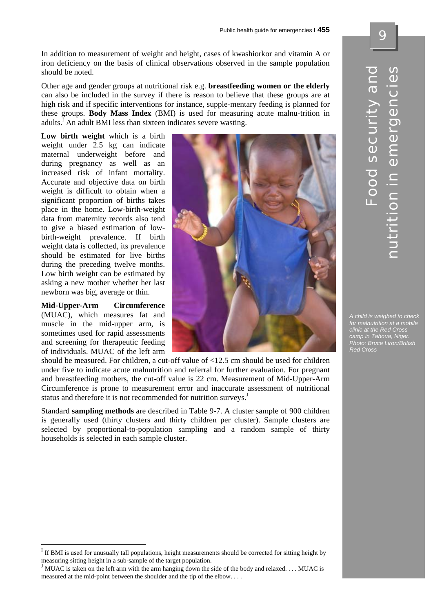In addition to measurement of weight and height, cases of kwashiorkor and vitamin A or iron deficiency on the basis of clinical observations observed in the sample population should be noted.

Other age and gender groups at nutritional risk e.g. **breastfeeding women or the elderly** can also be included in the survey if there is reason to believe that these groups are at high risk and if specific interventions for instance, supple-mentary feeding is planned for these groups. **Body Mass Index** (BMI) is used for measuring acute malnu-trition in adults.<sup>I</sup> An adult BMI less than sixteen indicates severe wasting.

**Low birth weight** which is a birth weight under 2.5 kg can indicate maternal underweight before and during pregnancy as well as an increased risk of infant mortality. Accurate and objective data on birth weight is difficult to obtain when a significant proportion of births takes place in the home. Low-birth-weight data from maternity records also tend to give a biased estimation of lowbirth-weight prevalence. If birth weight data is collected, its prevalence should be estimated for live births during the preceding twelve months. Low birth weight can be estimated by asking a new mother whether her last newborn was big, average or thin.

**Mid-Upper-Arm Circumference** (MUAC), which measures fat and muscle in the mid-upper arm, is sometimes used for rapid assessments and screening for therapeutic feeding of individuals. MUAC of the left arm

 $\overline{a}$ 



*A child is weighed to check for malnutrition at a mobile clinic at the Red Cross camp in Tahoua, Niger. Photo: Bruce Liron/British Red Cross* 

should be measured. For children, a cut-off value of <12.5 cm should be used for children under five to indicate acute malnutrition and referral for further evaluation. For pregnant and breastfeeding mothers, the cut-off value is 22 cm. Measurement of Mid-Upper-Arm Circumference is prone to measurement error and inaccurate assessment of nutritional status and therefore it is not recommended for nutrition surveys.<sup>J</sup>

Standard **sampling methods** are described in Table 9-7. A cluster sample of 900 children is generally used (thirty clusters and thirty children per cluster). Sample clusters are selected by proportional-to-population sampling and a random sample of thirty households is selected in each sample cluster.

Food security and

Food security and

nutrition in emergencies

ition in emergencies

<sup>&</sup>lt;sup>I</sup> If BMI is used for unusually tall populations, height measurements should be corrected for sitting height by measuring sitting height in a sub-sample of the target population.<br><sup>J</sup> MUAC is taken on the left arm with the arm hanging down the side of the body and relaxed. . . . MUAC is

measured at the mid-point between the shoulder and the tip of the elbow. . . .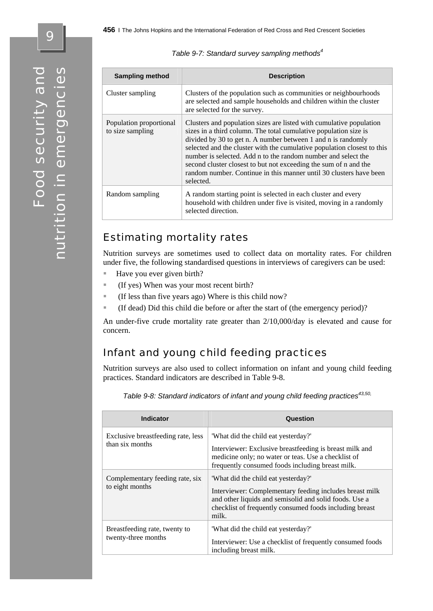| Table 9-7: Standard survey sampling methods <sup>4</sup> |  |
|----------------------------------------------------------|--|
|----------------------------------------------------------|--|

| <b>Sampling method</b>                      | <b>Description</b>                                                                                                                                                                                                                                                                                                                                                                                                                                                                                         |
|---------------------------------------------|------------------------------------------------------------------------------------------------------------------------------------------------------------------------------------------------------------------------------------------------------------------------------------------------------------------------------------------------------------------------------------------------------------------------------------------------------------------------------------------------------------|
| Cluster sampling                            | Clusters of the population such as communities or neighbourhoods<br>are selected and sample households and children within the cluster<br>are selected for the survey.                                                                                                                                                                                                                                                                                                                                     |
| Population proportional<br>to size sampling | Clusters and population sizes are listed with cumulative population<br>sizes in a third column. The total cumulative population size is<br>divided by 30 to get n. A number between 1 and n is randomly<br>selected and the cluster with the cumulative population closest to this<br>number is selected. Add n to the random number and select the<br>second cluster closest to but not exceeding the sum of n and the<br>random number. Continue in this manner until 30 clusters have been<br>selected. |
| Random sampling                             | A random starting point is selected in each cluster and every<br>household with children under five is visited, moving in a randomly<br>selected direction.                                                                                                                                                                                                                                                                                                                                                |

## Estimating mortality rates

Nutrition surveys are sometimes used to collect data on mortality rates. For children under five, the following standardised questions in interviews of caregivers can be used:

- Have you ever given birth?
- (If yes) When was your most recent birth?
- (If less than five years ago) Where is this child now?
- (If dead) Did this child die before or after the start of (the emergency period)?

An under-five crude mortality rate greater than 2/10,000/day is elevated and cause for concern.

## Infant and young child feeding practices

Nutrition surveys are also used to collect information on infant and young child feeding practices. Standard indicators are described in Table 9-8.

| <b>Indicator</b>                                      | Question                                                                                                                                                                                                                     |
|-------------------------------------------------------|------------------------------------------------------------------------------------------------------------------------------------------------------------------------------------------------------------------------------|
| Exclusive breastfeeding rate, less<br>than six months | "What did the child eat yesterday?"<br>Interviewer: Exclusive breastfeeding is breast milk and<br>medicine only; no water or teas. Use a checklist of<br>frequently consumed foods including breast milk.                    |
| Complementary feeding rate, six<br>to eight months    | "What did the child eat yesterday?"<br>Interviewer: Complementary feeding includes breast milk<br>and other liquids and semisolid and solid foods. Use a<br>checklist of frequently consumed foods including breast<br>milk. |
| Breastfeeding rate, twenty to<br>twenty-three months  | "What did the child eat yesterday?"<br>Interviewer: Use a checklist of frequently consumed foods<br>including breast milk.                                                                                                   |

*Table 9-8: Standard indicators of infant and young child feeding practices43,50,*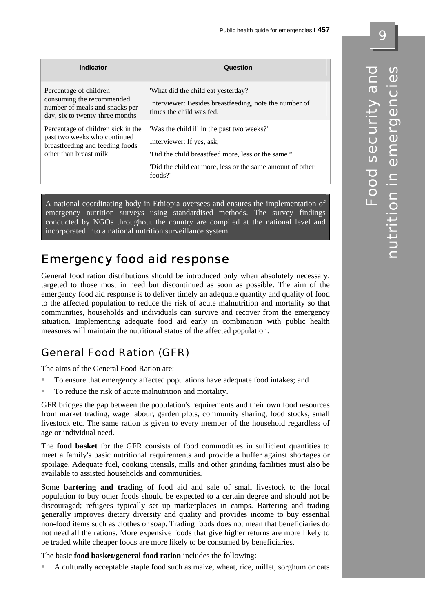| <b>Indicator</b>                                                                                                                | Question                                                                                                                                                                                              |
|---------------------------------------------------------------------------------------------------------------------------------|-------------------------------------------------------------------------------------------------------------------------------------------------------------------------------------------------------|
| Percentage of children<br>consuming the recommended<br>number of meals and snacks per<br>day, six to twenty-three months        | "What did the child eat yesterday?"<br>Interviewer: Besides breastfeeding, note the number of<br>times the child was fed.                                                                             |
| Percentage of children sick in the<br>past two weeks who continued<br>breastfeeding and feeding foods<br>other than breast milk | 'Was the child ill in the past two weeks?'<br>Interviewer: If yes, ask,<br>'Did the child breastfeed more, less or the same?'<br>"Did the child eat more, less or the same amount of other<br>foods?' |

A national coordinating body in Ethiopia oversees and ensures the implementation of emergency nutrition surveys using standardised methods. The survey findings conducted by NGOs throughout the country are compiled at the national level and incorporated into a national nutrition surveillance system.

# Emergency food aid response

General food ration distributions should be introduced only when absolutely necessary, targeted to those most in need but discontinued as soon as possible. The aim of the emergency food aid response is to deliver timely an adequate quantity and quality of food to the affected population to reduce the risk of acute malnutrition and mortality so that communities, households and individuals can survive and recover from the emergency situation. Implementing adequate food aid early in combination with public health measures will maintain the nutritional status of the affected population.

# General Food Ration (GFR)

The aims of the General Food Ration are:

- To ensure that emergency affected populations have adequate food intakes; and
- To reduce the risk of acute malnutrition and mortality.

GFR bridges the gap between the population's requirements and their own food resources from market trading, wage labour, garden plots, community sharing, food stocks, small livestock etc. The same ration is given to every member of the household regardless of age or individual need.

The **food basket** for the GFR consists of food commodities in sufficient quantities to meet a family's basic nutritional requirements and provide a buffer against shortages or spoilage. Adequate fuel, cooking utensils, mills and other grinding facilities must also be available to assisted households and communities.

Some **bartering and trading** of food aid and sale of small livestock to the local population to buy other foods should be expected to a certain degree and should not be discouraged; refugees typically set up marketplaces in camps. Bartering and trading generally improves dietary diversity and quality and provides income to buy essential non-food items such as clothes or soap. Trading foods does not mean that beneficiaries do not need all the rations. More expensive foods that give higher returns are more likely to be traded while cheaper foods are more likely to be consumed by beneficiaries.

The basic **food basket/general food ration** includes the following:

A culturally acceptable staple food such as maize, wheat, rice, millet, sorghum or oats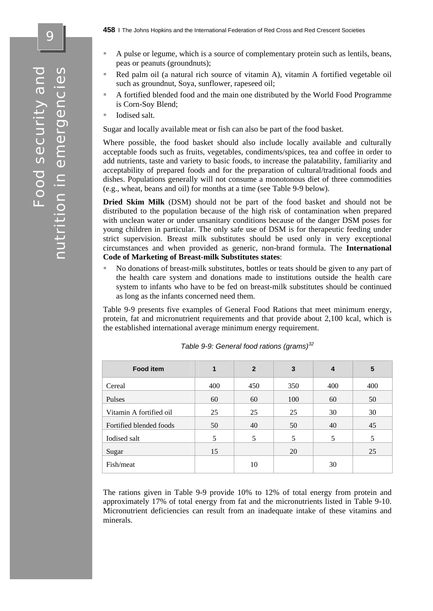9

- A pulse or legume, which is a source of complementary protein such as lentils, beans, peas or peanuts (groundnuts);
- Red palm oil (a natural rich source of vitamin A), vitamin A fortified vegetable oil such as groundnut, Soya, sunflower, rapeseed oil;
- A fortified blended food and the main one distributed by the World Food Programme is Corn-Soy Blend;
- **I**odised salt.

Sugar and locally available meat or fish can also be part of the food basket.

Where possible, the food basket should also include locally available and culturally acceptable foods such as fruits, vegetables, condiments/spices, tea and coffee in order to add nutrients, taste and variety to basic foods, to increase the palatability, familiarity and acceptability of prepared foods and for the preparation of cultural/traditional foods and dishes. Populations generally will not consume a monotonous diet of three commodities (e.g., wheat, beans and oil) for months at a time (see Table 9-9 below).

**Dried Skim Milk** (DSM) should not be part of the food basket and should not be distributed to the population because of the high risk of contamination when prepared with unclean water or under unsanitary conditions because of the danger DSM poses for young children in particular. The only safe use of DSM is for therapeutic feeding under strict supervision. Breast milk substitutes should be used only in very exceptional circumstances and when provided as generic, non-brand formula. The **International Code of Marketing of Breast-milk Substitutes states**:

 No donations of breast-milk substitutes, bottles or teats should be given to any part of the health care system and donations made to institutions outside the health care system to infants who have to be fed on breast-milk substitutes should be continued as long as the infants concerned need them.

Table 9-9 presents five examples of General Food Rations that meet minimum energy, protein, fat and micronutrient requirements and that provide about 2,100 kcal, which is the established international average minimum energy requirement.

| <b>Food item</b>        | 1   | $\mathbf{2}$ | 3   | 4   | 5   |
|-------------------------|-----|--------------|-----|-----|-----|
| Cereal                  | 400 | 450          | 350 | 400 | 400 |
| Pulses                  | 60  | 60           | 100 | 60  | 50  |
| Vitamin A fortified oil | 25  | 25           | 25  | 30  | 30  |
| Fortified blended foods | 50  | 40           | 50  | 40  | 45  |
| Iodised salt            | 5   | 5            | 5   | 5   | 5   |
| Sugar                   | 15  |              | 20  |     | 25  |
| Fish/meat               |     | 10           |     | 30  |     |

| Table 9-9: General food rations (grams) <sup>32</sup> |  |  |
|-------------------------------------------------------|--|--|
|-------------------------------------------------------|--|--|

The rations given in Table 9-9 provide 10% to 12% of total energy from protein and approximately 17% of total energy from fat and the micronutrients listed in Table 9-10. Micronutrient deficiencies can result from an inadequate intake of these vitamins and minerals.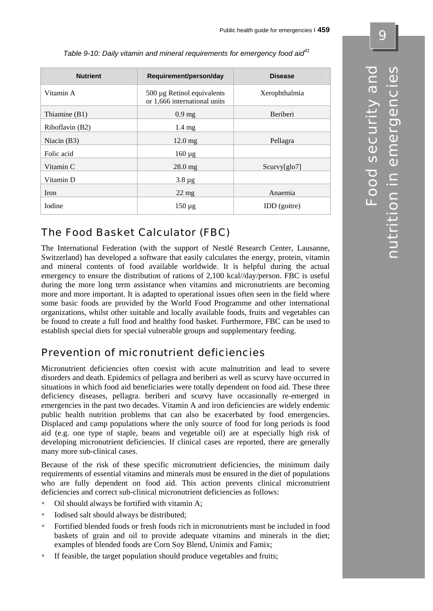| <b>Nutrient</b> | Requirement/person/day                                     | <b>Disease</b> |
|-----------------|------------------------------------------------------------|----------------|
| Vitamin A       | 500 µg Retinol equivalents<br>or 1,666 international units | Xerophthalmia  |
| Thiamine $(B1)$ | $0.9$ mg                                                   | Beriberi       |
| Riboflavin (B2) | $1.4 \text{ mg}$                                           |                |
| Niacin $(B3)$   | $12.0 \text{ mg}$                                          | Pellagra       |
| Folic acid      | $160 \mu g$                                                |                |
| Vitamin C       | $28.0$ mg                                                  | Scurv[glo7]    |
| Vitamin D       | $3.8 \,\mu g$                                              |                |
| Iron            | $22 \text{ mg}$                                            | Anaemia        |
| <b>I</b> odine  | $150 \mu g$                                                | IDD (goitre)   |

 *Table 9-10: Daily vitamin and mineral requirements for emergency food aid<sup>41</sup>*

# The Food Basket Calculator (FBC)

The International Federation (with the support of Nestlé Research Center, Lausanne, Switzerland) has developed a software that easily calculates the energy, protein, vitamin and mineral contents of food available worldwide. It is helpful during the actual emergency to ensure the distribution of rations of 2,100 kcal//day/person. FBC is useful during the more long term assistance when vitamins and micronutrients are becoming more and more important. It is adapted to operational issues often seen in the field where some basic foods are provided by the World Food Programme and other international organizations, whilst other suitable and locally available foods, fruits and vegetables can be found to create a full food and healthy food basket. Furthermore, FBC can be used to establish special diets for special vulnerable groups and supplementary feeding.

## Prevention of micronutrient deficiencies

Micronutrient deficiencies often coexist with acute malnutrition and lead to severe disorders and death. Epidemics of pellagra and beriberi as well as scurvy have occurred in situations in which food aid beneficiaries were totally dependent on food aid. These three deficiency diseases, pellagra. beriberi and scurvy have occasionally re-emerged in emergencies in the past two decades. Vitamin A and iron deficiencies are widely endemic public health nutrition problems that can also be exacerbated by food emergencies. Displaced and camp populations where the only source of food for long periods is food aid (e.g. one type of staple, beans and vegetable oil) are at especially high risk of developing micronutrient deficiencies. If clinical cases are reported, there are generally many more sub-clinical cases.

Because of the risk of these specific micronutrient deficiencies, the minimum daily requirements of essential vitamins and minerals must be ensured in the diet of populations who are fully dependent on food aid. This action prevents clinical micronutrient deficiencies and correct sub-clinical micronutrient deficiencies as follows:

- Oil should always be fortified with vitamin A;
- $\blacksquare$  Iodised salt should always be distributed:
- Fortified blended foods or fresh foods rich in micronutrients must be included in food baskets of grain and oil to provide adequate vitamins and minerals in the diet; examples of blended foods are Corn Soy Blend, Unimix and Famix;
- If feasible, the target population should produce vegetables and fruits;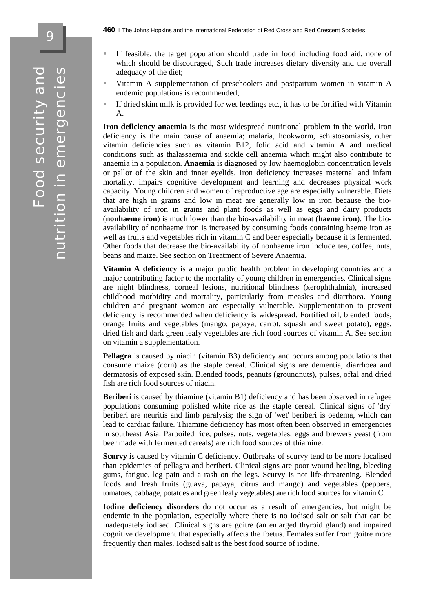- If feasible, the target population should trade in food including food aid, none of which should be discouraged, Such trade increases dietary diversity and the overall adequacy of the diet;
- Vitamin A supplementation of preschoolers and postpartum women in vitamin A endemic populations is recommended;
- If dried skim milk is provided for wet feedings etc., it has to be fortified with Vitamin A.

**Iron deficiency anaemia** is the most widespread nutritional problem in the world. Iron deficiency is the main cause of anaemia; malaria, hookworm, schistosomiasis, other vitamin deficiencies such as vitamin B12, folic acid and vitamin A and medical conditions such as thalassaemia and sickle cell anaemia which might also contribute to anaemia in a population. **Anaemia** is diagnosed by low haemoglobin concentration levels or pallor of the skin and inner eyelids. Iron deficiency increases maternal and infant mortality, impairs cognitive development and learning and decreases physical work capacity. Young children and women of reproductive age are especially vulnerable. Diets that are high in grains and low in meat are generally low in iron because the bioavailability of iron in grains and plant foods as well as eggs and dairy products (**nonhaeme iron**) is much lower than the bio-availability in meat (**haeme iron**). The bioavailability of nonhaeme iron is increased by consuming foods containing haeme iron as well as fruits and vegetables rich in vitamin C and beer especially because it is fermented. Other foods that decrease the bio-availability of nonhaeme iron include tea, coffee, nuts, beans and maize. See section on Treatment of Severe Anaemia.

**Vitamin A deficiency** is a major public health problem in developing countries and a major contributing factor to the mortality of young children in emergencies. Clinical signs are night blindness, corneal lesions, nutritional blindness (xerophthalmia), increased childhood morbidity and mortality, particularly from measles and diarrhoea. Young children and pregnant women are especially vulnerable. Supplementation to prevent deficiency is recommended when deficiency is widespread. Fortified oil, blended foods, orange fruits and vegetables (mango, papaya, carrot, squash and sweet potato), eggs, dried fish and dark green leafy vegetables are rich food sources of vitamin A. See section on vitamin a supplementation.

**Pellagra** is caused by niacin (vitamin B3) deficiency and occurs among populations that consume maize (corn) as the staple cereal. Clinical signs are dementia, diarrhoea and dermatosis of exposed skin. Blended foods, peanuts (groundnuts), pulses, offal and dried fish are rich food sources of niacin.

**Beriberi** is caused by thiamine (vitamin B1) deficiency and has been observed in refugee populations consuming polished white rice as the staple cereal. Clinical signs of 'dry' beriberi are neuritis and limb paralysis; the sign of 'wet' beriberi is oedema, which can lead to cardiac failure. Thiamine deficiency has most often been observed in emergencies in southeast Asia. Parboiled rice, pulses, nuts, vegetables, eggs and brewers yeast (from beer made with fermented cereals) are rich food sources of thiamine.

**Scurvy** is caused by vitamin C deficiency. Outbreaks of scurvy tend to be more localised than epidemics of pellagra and beriberi. Clinical signs are poor wound healing, bleeding gums, fatigue, leg pain and a rash on the legs. Scurvy is not life-threatening. Blended foods and fresh fruits (guava, papaya, citrus and mango) and vegetables (peppers, tomatoes, cabbage, potatoes and green leafy vegetables) are rich food sources for vitamin C.

**Iodine deficiency disorders** do not occur as a result of emergencies, but might be endemic in the population, especially where there is no iodised salt or salt that can be inadequately iodised. Clinical signs are goitre (an enlarged thyroid gland) and impaired cognitive development that especially affects the foetus. Females suffer from goitre more frequently than males. Iodised salt is the best food source of iodine.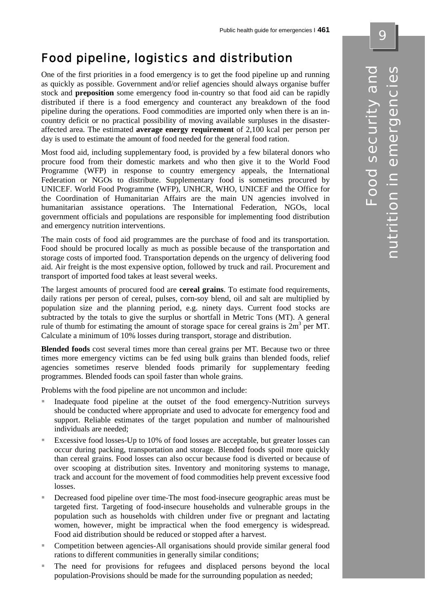# Food pipeline, logistics and distribution

One of the first priorities in a food emergency is to get the food pipeline up and running as quickly as possible. Government and/or relief agencies should always organise buffer stock and **preposition** some emergency food in-country so that food aid can be rapidly distributed if there is a food emergency and counteract any breakdown of the food pipeline during the operations. Food commodities are imported only when there is an incountry deficit or no practical possibility of moving available surpluses in the disasteraffected area. The estimated **average energy requirement** of 2,100 kcal per person per day is used to estimate the amount of food needed for the general food ration.

Most food aid, including supplementary food, is provided by a few bilateral donors who procure food from their domestic markets and who then give it to the World Food Programme (WFP) in response to country emergency appeals, the International Federation or NGOs to distribute. Supplementary food is sometimes procured by UNICEF. World Food Programme (WFP), UNHCR, WHO, UNICEF and the Office for the Coordination of Humanitarian Affairs are the main UN agencies involved in humanitarian assistance operations. The International Federation, NGOs, local government officials and populations are responsible for implementing food distribution and emergency nutrition interventions.

The main costs of food aid programmes are the purchase of food and its transportation. Food should be procured locally as much as possible because of the transportation and storage costs of imported food. Transportation depends on the urgency of delivering food aid. Air freight is the most expensive option, followed by truck and rail. Procurement and transport of imported food takes at least several weeks.

The largest amounts of procured food are **cereal grains**. To estimate food requirements, daily rations per person of cereal, pulses, corn-soy blend, oil and salt are multiplied by population size and the planning period, e.g. ninety days. Current food stocks are subtracted by the totals to give the surplus or shortfall in Metric Tons (MT). A general rule of thumb for estimating the amount of storage space for cereal grains is  $2m<sup>3</sup>$  per MT. Calculate a minimum of 10% losses during transport, storage and distribution.

**Blended foods** cost several times more than cereal grains per MT. Because two or three times more emergency victims can be fed using bulk grains than blended foods, relief agencies sometimes reserve blended foods primarily for supplementary feeding programmes. Blended foods can spoil faster than whole grains.

Problems with the food pipeline are not uncommon and include:

- Inadequate food pipeline at the outset of the food emergency-Nutrition surveys should be conducted where appropriate and used to advocate for emergency food and support. Reliable estimates of the target population and number of malnourished individuals are needed;
- Excessive food losses-Up to 10% of food losses are acceptable, but greater losses can occur during packing, transportation and storage. Blended foods spoil more quickly than cereal grains. Food losses can also occur because food is diverted or because of over scooping at distribution sites. Inventory and monitoring systems to manage, track and account for the movement of food commodities help prevent excessive food losses.
- Decreased food pipeline over time-The most food-insecure geographic areas must be targeted first. Targeting of food-insecure households and vulnerable groups in the population such as households with children under five or pregnant and lactating women, however, might be impractical when the food emergency is widespread. Food aid distribution should be reduced or stopped after a harvest.
- Competition between agencies-All organisations should provide similar general food rations to different communities in generally similar conditions;
- The need for provisions for refugees and displaced persons beyond the local population-Provisions should be made for the surrounding population as needed;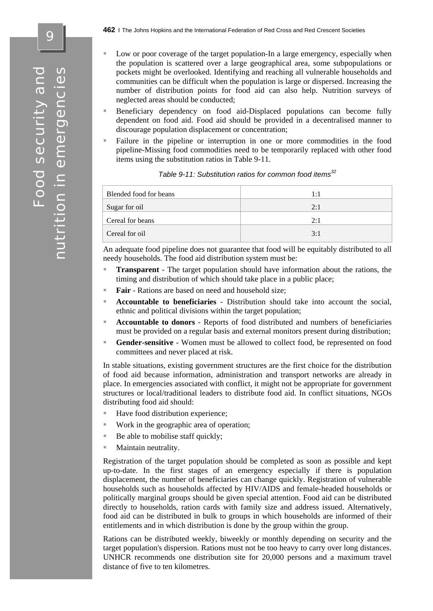- Low or poor coverage of the target population-In a large emergency, especially when the population is scattered over a large geographical area, some subpopulations or pockets might be overlooked. Identifying and reaching all vulnerable households and communities can be difficult when the population is large or dispersed. Increasing the number of distribution points for food aid can also help. Nutrition surveys of neglected areas should be conducted;
- Beneficiary dependency on food aid-Displaced populations can become fully dependent on food aid. Food aid should be provided in a decentralised manner to discourage population displacement or concentration;
- Failure in the pipeline or interruption in one or more commodities in the food pipeline-Missing food commodities need to be temporarily replaced with other food items using the substitution ratios in Table 9-11.

| Blended food for beans | 1:1 |
|------------------------|-----|
| Sugar for oil          | 2:1 |
| Cereal for beans       | 2:1 |
| Cereal for oil         | 3:1 |

| Table 9-11: Substitution ratios for common food items <sup>32</sup> |  |  |
|---------------------------------------------------------------------|--|--|
|                                                                     |  |  |
|                                                                     |  |  |

An adequate food pipeline does not guarantee that food will be equitably distributed to all needy households. The food aid distribution system must be:

- **Transparent** The target population should have information about the rations, the timing and distribution of which should take place in a public place;
- **Fair** Rations are based on need and household size;
- **Accountable to beneficiaries** Distribution should take into account the social, ethnic and political divisions within the target population;
- **Accountable to donors** Reports of food distributed and numbers of beneficiaries must be provided on a regular basis and external monitors present during distribution;
- **Gender-sensitive** Women must be allowed to collect food, be represented on food committees and never placed at risk.

In stable situations, existing government structures are the first choice for the distribution of food aid because information, administration and transport networks are already in place. In emergencies associated with conflict, it might not be appropriate for government structures or local/traditional leaders to distribute food aid. In conflict situations, NGOs distributing food aid should:

- Have food distribution experience;
- Work in the geographic area of operation;
- Be able to mobilise staff quickly;
- **Maintain neutrality.**

Registration of the target population should be completed as soon as possible and kept up-to-date. In the first stages of an emergency especially if there is population displacement, the number of beneficiaries can change quickly. Registration of vulnerable households such as households affected by HIV/AIDS and female-headed households or politically marginal groups should be given special attention. Food aid can be distributed directly to households, ration cards with family size and address issued. Alternatively, food aid can be distributed in bulk to groups in which households are informed of their entitlements and in which distribution is done by the group within the group.

Rations can be distributed weekly, biweekly or monthly depending on security and the target population's dispersion. Rations must not be too heavy to carry over long distances. UNHCR recommends one distribution site for 20,000 persons and a maximum travel distance of five to ten kilometres.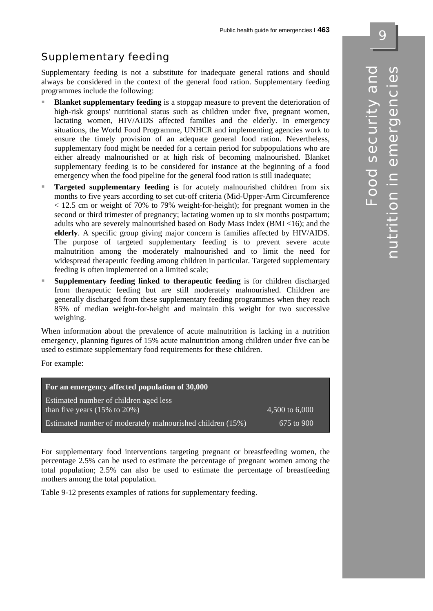# Supplementary feeding

Supplementary feeding is not a substitute for inadequate general rations and should always be considered in the context of the general food ration. Supplementary feeding programmes include the following:

- **Blanket supplementary feeding** is a stopgap measure to prevent the deterioration of high-risk groups' nutritional status such as children under five, pregnant women, lactating women, HIV/AIDS affected families and the elderly. In emergency situations, the World Food Programme, UNHCR and implementing agencies work to ensure the timely provision of an adequate general food ration. Nevertheless, supplementary food might be needed for a certain period for subpopulations who are either already malnourished or at high risk of becoming malnourished. Blanket supplementary feeding is to be considered for instance at the beginning of a food emergency when the food pipeline for the general food ration is still inadequate;
- **Targeted supplementary feeding** is for acutely malnourished children from six months to five years according to set cut-off criteria (Mid-Upper-Arm Circumference < 12.5 cm or weight of 70% to 79% weight-for-height); for pregnant women in the second or third trimester of pregnancy; lactating women up to six months postpartum; adults who are severely malnourished based on Body Mass Index (BMI <16); and the **elderly**. A specific group giving major concern is families affected by HIV/AIDS. The purpose of targeted supplementary feeding is to prevent severe acute malnutrition among the moderately malnourished and to limit the need for widespread therapeutic feeding among children in particular. Targeted supplementary feeding is often implemented on a limited scale;
- **Supplementary feeding linked to therapeutic feeding** is for children discharged from therapeutic feeding but are still moderately malnourished. Children are generally discharged from these supplementary feeding programmes when they reach 85% of median weight-for-height and maintain this weight for two successive weighing.

When information about the prevalence of acute malnutrition is lacking in a nutrition emergency, planning figures of 15% acute malnutrition among children under five can be used to estimate supplementary food requirements for these children.

For example:

| For an emergency affected population of 30,000                                      |                |
|-------------------------------------------------------------------------------------|----------------|
| Estimated number of children aged less<br>than five years $(15\% \text{ to } 20\%)$ | 4,500 to 6,000 |
| Estimated number of moderately malnourished children (15%)                          | 675 to 900     |

For supplementary food interventions targeting pregnant or breastfeeding women, the percentage 2.5% can be used to estimate the percentage of pregnant women among the total population; 2.5% can also be used to estimate the percentage of breastfeeding mothers among the total population.

Table 9-12 presents examples of rations for supplementary feeding.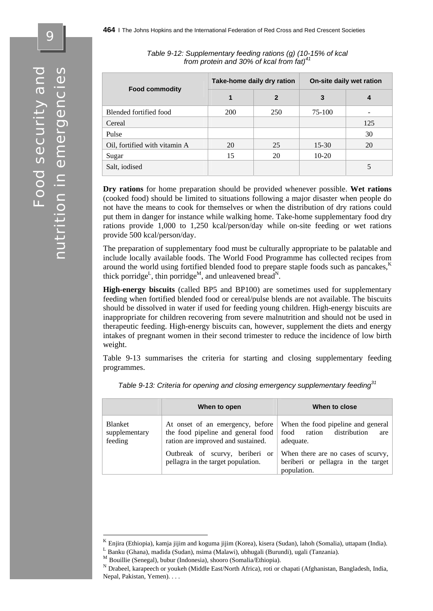9

|                               | Take-home daily dry ration |                | On-site daily wet ration |     |
|-------------------------------|----------------------------|----------------|--------------------------|-----|
| <b>Food commodity</b>         | 1                          | $\overline{2}$ | 3                        | 4   |
| Blended fortified food        | <b>200</b>                 | 250            | 75-100                   |     |
| Cereal                        |                            |                |                          | 125 |
| Pulse                         |                            |                |                          | 30  |
| Oil, fortified with vitamin A | 20                         | 25             | $15 - 30$                | 20  |
| Sugar                         | 15                         | 20             | $10-20$                  |     |
| Salt, iodised                 |                            |                |                          |     |

*Table 9-12: Supplementary feeding rations (g) (10-15% of kcal from protein and 30% of kcal from fat)<sup>4</sup>* 

**Dry rations** for home preparation should be provided whenever possible. **Wet rations**  (cooked food) should be limited to situations following a major disaster when people do not have the means to cook for themselves or when the distribution of dry rations could put them in danger for instance while walking home. Take-home supplementary food dry rations provide 1,000 to 1,250 kcal/person/day while on-site feeding or wet rations provide 500 kcal/person/day.

The preparation of supplementary food must be culturally appropriate to be palatable and include locally available foods. The World Food Programme has collected recipes from around the world using fortified blended food to prepare staple foods such as pancakes.<sup>K</sup> thick porridge<sup>L</sup>, thin porridge<sup>M</sup>, and unleavened bread<sup>N</sup>.

**High-energy biscuits** (called BP5 and BP100) are sometimes used for supplementary feeding when fortified blended food or cereal/pulse blends are not available. The biscuits should be dissolved in water if used for feeding young children. High-energy biscuits are inappropriate for children recovering from severe malnutrition and should not be used in therapeutic feeding. High-energy biscuits can, however, supplement the diets and energy intakes of pregnant women in their second trimester to reduce the incidence of low birth weight.

Table 9-13 summarises the criteria for starting and closing supplementary feeding programmes.

|                                     | When to open                                                                                                 | When to close                                                                            |
|-------------------------------------|--------------------------------------------------------------------------------------------------------------|------------------------------------------------------------------------------------------|
| Blanket<br>supplementary<br>feeding | At onset of an emergency, before<br>the food pipeline and general food<br>ration are improved and sustained. | When the food pipeline and general<br>ration<br>distribution<br>food<br>are<br>adequate. |
|                                     | Outbreak of scurvy, beriberi or<br>pellagra in the target population.                                        | When there are no cases of scurvy,<br>beriberi or pellagra in the target<br>population.  |

*Table 9-13: Criteria for opening and closing emergency supplementary feeding<sup>31</sup>*

<sup>K</sup> Enjira (Ethiopia), kamja jijim and koguma jijim (Korea), kisera (Sudan), lahoh (Somalia), uttapam (India).  $L$ Banku (Ghana), madida (Sudan), nsima (Malawi), ubhugali (Burundi), ugali (Tanzania). M Bouillie (Senegal), bubur (Indonesia), shooro (Somalia/Ethiopia).

<sup>&</sup>lt;sup>N</sup> Drabeel, karapeech or youkeh (Middle East/North Africa), roti or chapati (Afghanistan, Bangladesh, India, Nepal, Pakistan, Yemen). . . .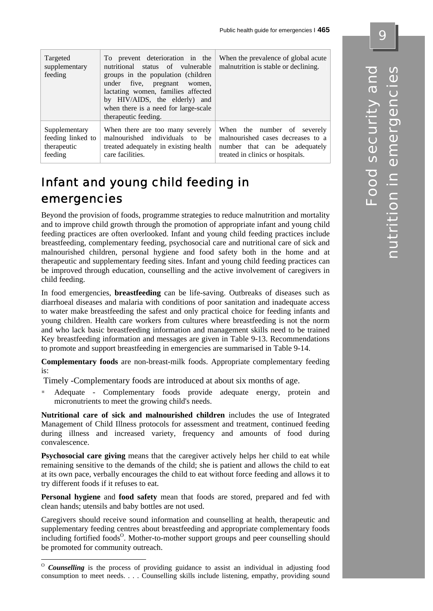| Targeted<br>supplementary<br>feeding | To prevent deterioration in the<br>nutritional status of vulnerable<br>groups in the population (children<br>under five, pregnant women,<br>lactating women, families affected<br>by HIV/AIDS, the elderly) and<br>when there is a need for large-scale<br>therapeutic feeding. | When the prevalence of global acute<br>malnutrition is stable or declining. |
|--------------------------------------|---------------------------------------------------------------------------------------------------------------------------------------------------------------------------------------------------------------------------------------------------------------------------------|-----------------------------------------------------------------------------|
| Supplementary                        | When there are too many severely                                                                                                                                                                                                                                                | When the number of severely                                                 |
| feeding linked to                    | malnourished individuals to be                                                                                                                                                                                                                                                  | malnourished cases decreases to a                                           |
| therapeutic                          | treated adequately in existing health                                                                                                                                                                                                                                           | number that can be adequately                                               |
| feeding                              | care facilities.                                                                                                                                                                                                                                                                | treated in clinics or hospitals.                                            |

# Infant and young child feeding in emergencies

Beyond the provision of foods, programme strategies to reduce malnutrition and mortality and to improve child growth through the promotion of appropriate infant and young child feeding practices are often overlooked. Infant and young child feeding practices include breastfeeding, complementary feeding, psychosocial care and nutritional care of sick and malnourished children, personal hygiene and food safety both in the home and at therapeutic and supplementary feeding sites. Infant and young child feeding practices can be improved through education, counselling and the active involvement of caregivers in child feeding.

In food emergencies, **breastfeeding** can be life-saving. Outbreaks of diseases such as diarrhoeal diseases and malaria with conditions of poor sanitation and inadequate access to water make breastfeeding the safest and only practical choice for feeding infants and young children. Health care workers from cultures where breastfeeding is not the norm and who lack basic breastfeeding information and management skills need to be trained Key breastfeeding information and messages are given in Table 9-13. Recommendations to promote and support breastfeeding in emergencies are summarised in Table 9-14.

**Complementary foods** are non-breast-milk foods. Appropriate complementary feeding is:

Timely -Complementary foods are introduced at about six months of age.

 Adequate - Complementary foods provide adequate energy, protein and micronutrients to meet the growing child's needs.

**Nutritional care of sick and malnourished children** includes the use of Integrated Management of Child Illness protocols for assessment and treatment, continued feeding during illness and increased variety, frequency and amounts of food during convalescence.

**Psychosocial care giving** means that the caregiver actively helps her child to eat while remaining sensitive to the demands of the child; she is patient and allows the child to eat at its own pace, verbally encourages the child to eat without force feeding and allows it to try different foods if it refuses to eat.

**Personal hygiene** and **food safety** mean that foods are stored, prepared and fed with clean hands; utensils and baby bottles are not used.

Caregivers should receive sound information and counselling at health, therapeutic and supplementary feeding centres about breastfeeding and appropriate complementary foods including fortified foods<sup>O</sup>. Mother-to-mother support groups and peer counselling should be promoted for community outreach.

 $\overline{a}$ 

<sup>&</sup>lt;sup>O</sup> *Counselling* is the process of providing guidance to assist an individual in adjusting food consumption to meet needs. . . . Counselling skills include listening, empathy, providing sound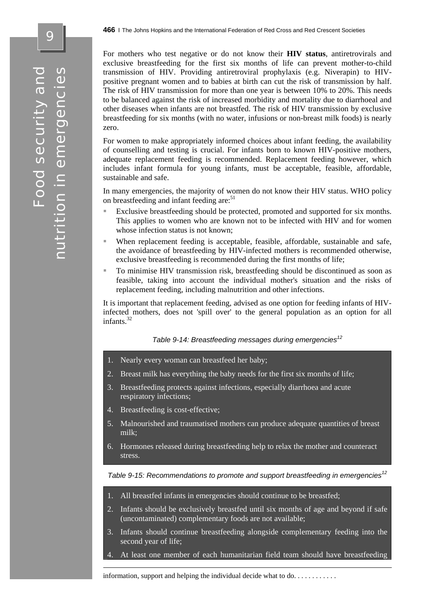For mothers who test negative or do not know their **HIV status**, antiretrovirals and exclusive breastfeeding for the first six months of life can prevent mother-to-child transmission of HIV. Providing antiretroviral prophylaxis (e.g. Niverapin) to HIVpositive pregnant women and to babies at birth can cut the risk of transmission by half. The risk of HIV transmission for more than one year is between 10% to 20%. This needs to be balanced against the risk of increased morbidity and mortality due to diarrhoeal and other diseases when infants are not breastfed. The risk of HIV transmission by exclusive breastfeeding for six months (with no water, infusions or non-breast milk foods) is nearly zero.

For women to make appropriately informed choices about infant feeding, the availability of counselling and testing is crucial. For infants born to known HIV-positive mothers, adequate replacement feeding is recommended. Replacement feeding however, which includes infant formula for young infants, must be acceptable, feasible, affordable, sustainable and safe.

In many emergencies, the majority of women do not know their HIV status. WHO policy on breastfeeding and infant feeding are:<sup>51</sup>

- Exclusive breastfeeding should be protected, promoted and supported for six months. This applies to women who are known not to be infected with HIV and for women whose infection status is not known:
- When replacement feeding is acceptable, feasible, affordable, sustainable and safe, the avoidance of breastfeeding by HIV-infected mothers is recommended otherwise, exclusive breastfeeding is recommended during the first months of life;
- To minimise HIV transmission risk, breastfeeding should be discontinued as soon as feasible, taking into account the individual mother's situation and the risks of replacement feeding, including malnutrition and other infections.

It is important that replacement feeding, advised as one option for feeding infants of HIVinfected mothers, does not 'spill over' to the general population as an option for all infants.<sup>32</sup>

#### *Table 9-14: Breastfeeding messages during emergencies<sup>12</sup>*

- 1. Nearly every woman can breastfeed her baby;
- 2. Breast milk has everything the baby needs for the first six months of life;
- 3. Breastfeeding protects against infections, especially diarrhoea and acute respiratory infections;
- 4. Breastfeeding is cost-effective;
- 5. Malnourished and traumatised mothers can produce adequate quantities of breast milk;
- 6. Hormones released during breastfeeding help to relax the mother and counteract stress.

*Table 9-15: Recommendations to promote and support breastfeeding in emergencies<sup>12</sup>*

- 1. All breastfed infants in emergencies should continue to be breastfed;
- 2. Infants should be exclusively breastfed until six months of age and beyond if safe (uncontaminated) complementary foods are not available;
- 3. Infants should continue breastfeeding alongside complementary feeding into the second year of life;
- At least one member of each humanitarian field team should have breastfeeding

information, support and helping the individual decide what to do. . . . . . . . . . . .

 $\overline{\mathbf{C}}$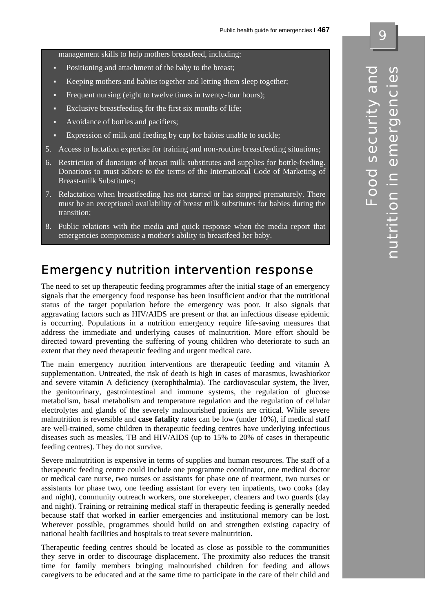management skills to help mothers breastfeed, including:

- Positioning and attachment of the baby to the breast;
- Keeping mothers and babies together and letting them sleep together;
- Frequent nursing (eight to twelve times in twenty-four hours);
- Exclusive breastfeeding for the first six months of life;
- Avoidance of bottles and pacifiers;
- Expression of milk and feeding by cup for babies unable to suckle;
- 5. Access to lactation expertise for training and non-routine breastfeeding situations;
- 6. Restriction of donations of breast milk substitutes and supplies for bottle-feeding. Donations to must adhere to the terms of the International Code of Marketing of Breast-milk Substitutes;
- 7. Relactation when breastfeeding has not started or has stopped prematurely. There must be an exceptional availability of breast milk substitutes for babies during the transition;
- 8. Public relations with the media and quick response when the media report that emergencies compromise a mother's ability to breastfeed her baby.

## Emergency nutrition intervention response

The need to set up therapeutic feeding programmes after the initial stage of an emergency signals that the emergency food response has been insufficient and/or that the nutritional status of the target population before the emergency was poor. It also signals that aggravating factors such as HIV/AIDS are present or that an infectious disease epidemic is occurring. Populations in a nutrition emergency require life-saving measures that address the immediate and underlying causes of malnutrition. More effort should be directed toward preventing the suffering of young children who deteriorate to such an extent that they need therapeutic feeding and urgent medical care.

The main emergency nutrition interventions are therapeutic feeding and vitamin A supplementation. Untreated, the risk of death is high in cases of marasmus, kwashiorkor and severe vitamin A deficiency (xerophthalmia). The cardiovascular system, the liver, the genitourinary, gastrointestinal and immune systems, the regulation of glucose metabolism, basal metabolism and temperature regulation and the regulation of cellular electrolytes and glands of the severely malnourished patients are critical. While severe malnutrition is reversible and **case fatality** rates can be low (under 10%), if medical staff are well-trained, some children in therapeutic feeding centres have underlying infectious diseases such as measles, TB and HIV/AIDS (up to 15% to 20% of cases in therapeutic feeding centres). They do not survive.

Severe malnutrition is expensive in terms of supplies and human resources. The staff of a therapeutic feeding centre could include one programme coordinator, one medical doctor or medical care nurse, two nurses or assistants for phase one of treatment, two nurses or assistants for phase two, one feeding assistant for every ten inpatients, two cooks (day and night), community outreach workers, one storekeeper, cleaners and two guards (day and night). Training or retraining medical staff in therapeutic feeding is generally needed because staff that worked in earlier emergencies and institutional memory can be lost. Wherever possible, programmes should build on and strengthen existing capacity of national health facilities and hospitals to treat severe malnutrition.

Therapeutic feeding centres should be located as close as possible to the communities they serve in order to discourage displacement. The proximity also reduces the transit time for family members bringing malnourished children for feeding and allows caregivers to be educated and at the same time to participate in the care of their child and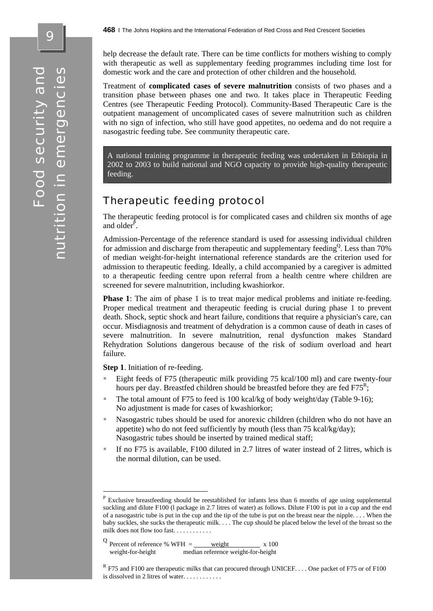help decrease the default rate. There can be time conflicts for mothers wishing to comply with therapeutic as well as supplementary feeding programmes including time lost for domestic work and the care and protection of other children and the household.

Treatment of **complicated cases of severe malnutrition** consists of two phases and a transition phase between phases one and two. It takes place in Therapeutic Feeding Centres (see Therapeutic Feeding Protocol). Community-Based Therapeutic Care is the outpatient management of uncomplicated cases of severe malnutrition such as children with no sign of infection, who still have good appetites, no oedema and do not require a nasogastric feeding tube. See community therapeutic care.

A national training programme in therapeutic feeding was undertaken in Ethiopia in 2002 to 2003 to build national and NGO capacity to provide high-quality therapeutic feeding.

## Therapeutic feeding protocol

The therapeutic feeding protocol is for complicated cases and children six months of age and older $\hat{P}$ .

Admission-Percentage of the reference standard is used for assessing individual children for admission and discharge from therapeutic and supplementary feeding<sup>Q</sup>. Less than  $70\%$ of median weight-for-height international reference standards are the criterion used for admission to therapeutic feeding. Ideally, a child accompanied by a caregiver is admitted to a therapeutic feeding centre upon referral from a health centre where children are screened for severe malnutrition, including kwashiorkor.

**Phase 1**: The aim of phase 1 is to treat major medical problems and initiate re-feeding. Proper medical treatment and therapeutic feeding is crucial during phase 1 to prevent death. Shock, septic shock and heart failure, conditions that require a physician's care, can occur. Misdiagnosis and treatment of dehydration is a common cause of death in cases of severe malnutrition. In severe malnutrition, renal dysfunction makes Standard Rehydration Solutions dangerous because of the risk of sodium overload and heart failure.

**Step 1**. Initiation of re-feeding.

1

- Eight feeds of F75 (therapeutic milk providing 75 kcal/100 ml) and care twenty-four hours per day. Breastfed children should be breastfed before they are fed  $F75^R$ ;
- The total amount of F75 to feed is 100 kcal/kg of body weight/day (Table 9-16); No adjustment is made for cases of kwashiorkor;
- Nasogastric tubes should be used for anorexic children (children who do not have an appetite) who do not feed sufficiently by mouth (less than 75 kcal/kg/day); Nasogastric tubes should be inserted by trained medical staff;
- If no F75 is available, F100 diluted in 2.7 litres of water instead of 2 litres, which is the normal dilution, can be used.

<sup>P</sup> Exclusive breastfeeding should be reestablished for infants less than 6 months of age using supplemental suckling and dilute F100 (l package in 2.7 litres of water) as follows. Dilute F100 is put in a cup and the end of a nasogastric tube is put in the cup and the tip of the tube is put on the breast near the nipple. . . . When the baby suckles, she sucks the therapeutic milk. . . . The cup should be placed below the level of the breast so the milk does not flow too fast. . . . . . . . . . . .

 $\text{Q}$  Percent of reference % WFH = weight x 100 weight-for-height median reference weight-for-height

<sup>&</sup>lt;sup>R</sup> F75 and F100 are therapeutic milks that can procured through UNICEF. . . . One packet of F75 or of F100 is dissolved in 2 litres of water. . . . . . . . . . . .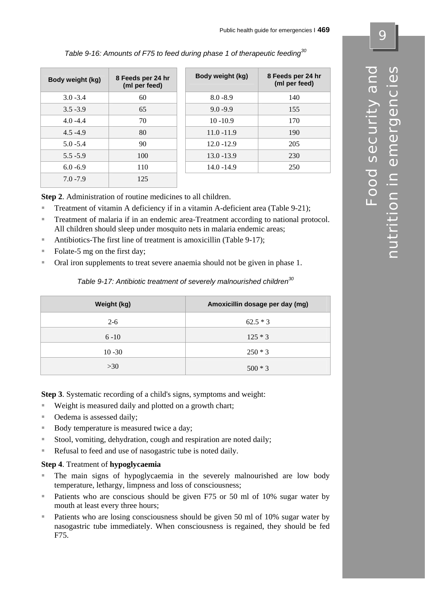| Body weight (kg) | 8 Feeds per 24 hr<br>(ml per feed) | Body weight (kg) | 8 Feeds per 24 hr<br>(ml per feed) |
|------------------|------------------------------------|------------------|------------------------------------|
| $3.0 - 3.4$      | 60                                 | $8.0 - 8.9$      | 140                                |
| $3.5 - 3.9$      | 65                                 | $9.0 - 9.9$      | 155                                |
| $4.0 - 4.4$      | 70                                 | $10 - 10.9$      | 170                                |
| $4.5 - 4.9$      | 80                                 | $11.0 - 11.9$    | 190                                |
| $5.0 - 5.4$      | 90                                 | $12.0 - 12.9$    | 205                                |
| $5.5 - 5.9$      | 100                                | $13.0 - 13.9$    | 230                                |
| $6.0 - 6.9$      | 110                                | $14.0 - 14.9$    | 250                                |
| $7.0 - 7.9$      | 125                                |                  |                                    |

*Table 9-16: Amounts of F75 to feed during phase 1 of therapeutic feeding30* 

**Step 2**. Administration of routine medicines to all children.

- Treatment of vitamin A deficiency if in a vitamin A-deficient area (Table 9-21);
- Treatment of malaria if in an endemic area-Treatment according to national protocol. All children should sleep under mosquito nets in malaria endemic areas;
- Antibiotics-The first line of treatment is amoxicillin (Table 9-17);
- Folate-5 mg on the first day;
- Oral iron supplements to treat severe anaemia should not be given in phase 1.

#### *Table 9-17: Antibiotic treatment of severely malnourished children<sup>30</sup>*

| Weight (kg) | Amoxicillin dosage per day (mg) |
|-------------|---------------------------------|
| $2 - 6$     | $62.5 * 3$                      |
| $6 - 10$    | $125 * 3$                       |
| $10 - 30$   | $250 * 3$                       |
| >30         | $500 * 3$                       |

**Step 3**. Systematic recording of a child's signs, symptoms and weight:

- Weight is measured daily and plotted on a growth chart;
- Oedema is assessed daily;
- Body temperature is measured twice a day;
- Stool, vomiting, dehydration, cough and respiration are noted daily;
- Refusal to feed and use of nasogastric tube is noted daily.

#### **Step 4**. Treatment of **hypoglycaemia**

- The main signs of hypoglycaemia in the severely malnourished are low body temperature, lethargy, limpness and loss of consciousness;
- Patients who are conscious should be given F75 or 50 ml of 10% sugar water by mouth at least every three hours;
- Patients who are losing consciousness should be given 50 ml of 10% sugar water by nasogastric tube immediately. When consciousness is regained, they should be fed F75.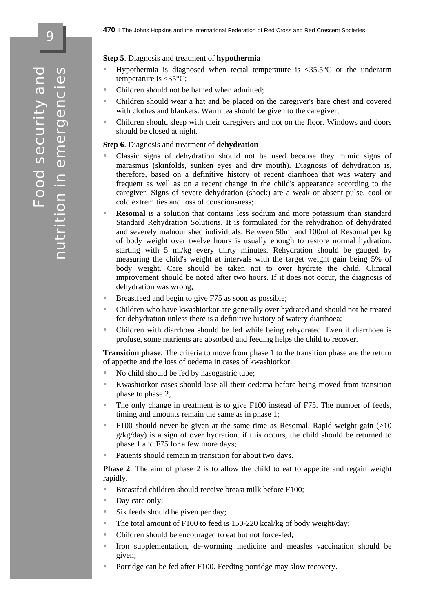9

#### **Step 5**. Diagnosis and treatment of **hypothermia**

- Hypothermia is diagnosed when rectal temperature is  $\langle 35.5^{\circ}$  c or the underarm temperature is  $\langle 35^{\circ}$ C;
- Children should not be bathed when admitted;
- Children should wear a hat and be placed on the caregiver's bare chest and covered with clothes and blankets. Warm tea should be given to the caregiver;
- Children should sleep with their caregivers and not on the floor. Windows and doors should be closed at night.

#### **Step 6**. Diagnosis and treatment of **dehydration**

- Classic signs of dehydration should not be used because they mimic signs of marasmus (skinfolds, sunken eyes and dry mouth). Diagnosis of dehydration is, therefore, based on a definitive history of recent diarrhoea that was watery and frequent as well as on a recent change in the child's appearance according to the caregiver. Signs of severe dehydration (shock) are a weak or absent pulse, cool or cold extremities and loss of consciousness;
- **Resomal** is a solution that contains less sodium and more potassium than standard Standard Rehydration Solutions. It is formulated for the rehydration of dehydrated and severely malnourished individuals. Between 50ml and 100ml of Resomal per kg of body weight over twelve hours is usually enough to restore normal hydration, starting with 5 ml/kg every thirty minutes. Rehydration should be gauged by measuring the child's weight at intervals with the target weight gain being 5% of body weight. Care should be taken not to over hydrate the child. Clinical improvement should be noted after two hours. If it does not occur, the diagnosis of dehydration was wrong;
- Breastfeed and begin to give F75 as soon as possible;
- Children who have kwashiorkor are generally over hydrated and should not be treated for dehydration unless there is a definitive history of watery diarrhoea;
- Children with diarrhoea should be fed while being rehydrated. Even if diarrhoea is profuse, some nutrients are absorbed and feeding helps the child to recover.

**Transition phase**: The criteria to move from phase 1 to the transition phase are the return of appetite and the loss of oedema in cases of kwashiorkor.

- No child should be fed by nasogastric tube;
- Kwashiorkor cases should lose all their oedema before being moved from transition phase to phase 2;
- The only change in treatment is to give F100 instead of F75. The number of feeds, timing and amounts remain the same as in phase 1;
- F100 should never be given at the same time as Resomal. Rapid weight gain  $(>10$ g/kg/day) is a sign of over hydration. if this occurs, the child should be returned to phase 1 and F75 for a few more days;
- Patients should remain in transition for about two days.

**Phase 2**: The aim of phase 2 is to allow the child to eat to appetite and regain weight rapidly.

- Breastfed children should receive breast milk before F100;
- Day care only;
- $\blacksquare$  Six feeds should be given per day;
- The total amount of F100 to feed is 150-220 kcal/kg of body weight/day;
- Children should be encouraged to eat but not force-fed;
- Iron supplementation, de-worming medicine and measles vaccination should be given;
- Porridge can be fed after F100. Feeding porridge may slow recovery.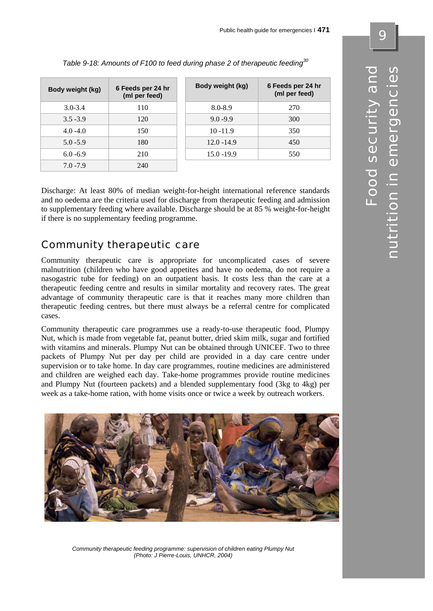| Body weight (kg) | 6 Feeds per 24 hr<br>(ml per feed) | Body weight (kg) | 6 Feeds per 24 hr<br>(ml per feed) |
|------------------|------------------------------------|------------------|------------------------------------|
| $3.0 - 3.4$      | 110                                | $8.0 - 8.9$      | 270                                |
| $3.5 - 3.9$      | 120                                | $9.0 - 9.9$      | 300                                |
| $4.0 - 4.0$      | 150                                | $10 - 11.9$      | 350                                |
| $5.0 - 5.9$      | 180                                | $12.0 - 14.9$    | 450                                |
| $6.0 - 6.9$      | 210                                | $15.0 - 19.9$    | 550                                |
| $7.0 - 7.9$      | 240                                |                  |                                    |

| Table 9-18: Amounts of F100 to feed during phase 2 of therapeutic feeding <sup>30</sup> |  |
|-----------------------------------------------------------------------------------------|--|
|                                                                                         |  |

Discharge: At least 80% of median weight-for-height international reference standards and no oedema are the criteria used for discharge from therapeutic feeding and admission to supplementary feeding where available. Discharge should be at 85 % weight-for-height if there is no supplementary feeding programme.

# Community therapeutic care

Community therapeutic care is appropriate for uncomplicated cases of severe malnutrition (children who have good appetites and have no oedema, do not require a nasogastric tube for feeding) on an outpatient basis. It costs less than the care at a therapeutic feeding centre and results in similar mortality and recovery rates. The great advantage of community therapeutic care is that it reaches many more children than therapeutic feeding centres, but there must always be a referral centre for complicated cases.

Community therapeutic care programmes use a ready-to-use therapeutic food, Plumpy Nut, which is made from vegetable fat, peanut butter, dried skim milk, sugar and fortified with vitamins and minerals. Plumpy Nut can be obtained through UNICEF. Two to three packets of Plumpy Nut per day per child are provided in a day care centre under supervision or to take home. In day care programmes, routine medicines are administered and children are weighed each day. Take-home programmes provide routine medicines and Plumpy Nut (fourteen packets) and a blended supplementary food (3kg to 4kg) per week as a take-home ration, with home visits once or twice a week by outreach workers.



*Community therapeutic feeding programme: supervision of children eating Plumpy Nut (Photo: J Pierre-Louis, UNHCR, 2004)*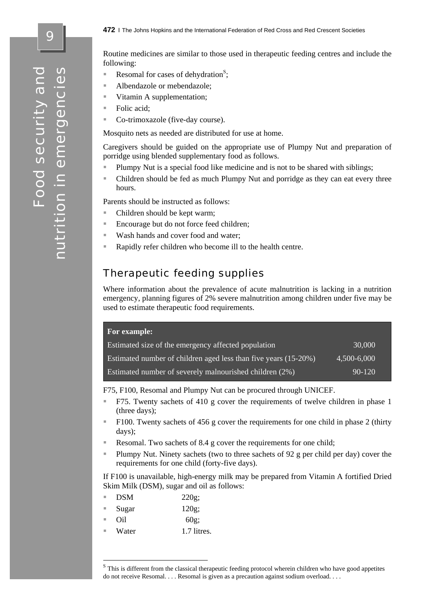Food security and nutrition in emergencies nutrition in emergencies Food security an

Routine medicines are similar to those used in therapeutic feeding centres and include the following:

- Resomal for cases of dehydration<sup>S</sup>;
- Albendazole or mebendazole;
- Vitamin A supplementation;
- Folic acid;
- Co-trimoxazole (five-day course).

Mosquito nets as needed are distributed for use at home.

Caregivers should be guided on the appropriate use of Plumpy Nut and preparation of porridge using blended supplementary food as follows.

- Plumpy Nut is a special food like medicine and is not to be shared with siblings;
- Children should be fed as much Plumpy Nut and porridge as they can eat every three hours.

Parents should be instructed as follows:

- Children should be kept warm;
- Encourage but do not force feed children;
- Wash hands and cover food and water;
- Rapidly refer children who become ill to the health centre.

## Therapeutic feeding supplies

Where information about the prevalence of acute malnutrition is lacking in a nutrition emergency, planning figures of 2% severe malnutrition among children under five may be used to estimate therapeutic food requirements.

| For example:                                                    |             |
|-----------------------------------------------------------------|-------------|
| Estimated size of the emergency affected population             | 30,000      |
| Estimated number of children aged less than five years (15-20%) | 4,500-6,000 |
| Estimated number of severely malnourished children (2%)         | $90 - 120$  |

F75, F100, Resomal and Plumpy Nut can be procured through UNICEF.

- F75. Twenty sachets of 410 g cover the requirements of twelve children in phase 1 (three days);
- F100. Twenty sachets of 456 g cover the requirements for one child in phase 2 (thirty days);
- Resomal. Two sachets of 8.4 g cover the requirements for one child:
- Plumpy Nut. Ninety sachets (two to three sachets of 92 g per child per day) cover the requirements for one child (forty-five days).

If F100 is unavailable, high-energy milk may be prepared from Vitamin A fortified Dried Skim Milk (DSM), sugar and oil as follows:

| $220g$ ; |
|----------|
|          |

- Sugar 120g;
- Oil 60g;

1

Water 1.7 litres.

<sup>&</sup>lt;sup>S</sup> This is different from the classical therapeutic feeding protocol wherein children who have good appetites do not receive Resomal. . . . Resomal is given as a precaution against sodium overload. . . .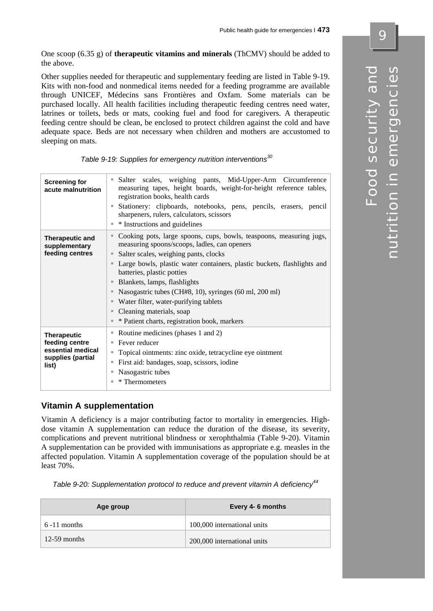One scoop (6.35 g) of **therapeutic vitamins and minerals** (ThCMV) should be added to the above.

Other supplies needed for therapeutic and supplementary feeding are listed in Table 9-19. Kits with non-food and nonmedical items needed for a feeding programme are available through UNICEF, Médecins sans Frontières and Oxfam. Some materials can be purchased locally. All health facilities including therapeutic feeding centres need water, latrines or toilets, beds or mats, cooking fuel and food for caregivers. A therapeutic feeding centre should be clean, be enclosed to protect children against the cold and have adequate space. Beds are not necessary when children and mothers are accustomed to sleeping on mats.

| <b>Screening for</b><br>acute malnutrition                                              | Salter scales, weighing pants, Mid-Upper-Arm Circumference<br>ш<br>measuring tapes, height boards, weight-for-height reference tables,<br>registration books, health cards<br>Stationery: clipboards, notebooks, pens, pencils, erasers, pencil<br>sharpeners, rulers, calculators, scissors<br>* Instructions and guidelines                                                                                                                                                                                                                |  |  |
|-----------------------------------------------------------------------------------------|----------------------------------------------------------------------------------------------------------------------------------------------------------------------------------------------------------------------------------------------------------------------------------------------------------------------------------------------------------------------------------------------------------------------------------------------------------------------------------------------------------------------------------------------|--|--|
| <b>Therapeutic and</b><br>supplementary<br>feeding centres                              | Cooking pots, large spoons, cups, bowls, teaspoons, measuring jugs,<br>$\blacksquare$<br>measuring spoons/scoops, ladles, can openers<br>Salter scales, weighing pants, clocks<br>$\blacksquare$<br>Large bowls, plastic water containers, plastic buckets, flashlights and<br>batteries, plastic potties<br>Blankets, lamps, flashlights<br>Nasogastric tubes (CH#8, 10), syringes (60 ml, 200 ml)<br>ш<br>Water filter, water-purifying tablets<br>ш<br>Cleaning materials, soap<br>ш<br>* Patient charts, registration book, markers<br>ш |  |  |
| <b>Therapeutic</b><br>feeding centre<br>essential medical<br>supplies (partial<br>list) | Routine medicines (phases 1 and 2)<br>ш<br>Fever reducer<br>ш<br>Topical ointments: zinc oxide, tetracycline eye ointment<br>ш<br>First aid: bandages, soap, scissors, iodine<br>ш<br>Nasogastric tubes<br>ш<br>* Thermometers<br>٠                                                                                                                                                                                                                                                                                                          |  |  |

#### **Vitamin A supplementation**

Vitamin A deficiency is a major contributing factor to mortality in emergencies. Highdose vitamin A supplementation can reduce the duration of the disease, its severity, complications and prevent nutritional blindness or xerophthalmia (Table 9-20). Vitamin A supplementation can be provided with immunisations as appropriate e.g. measles in the affected population. Vitamin A supplementation coverage of the population should be at least 70%.

*Table 9-20: Supplementation protocol to reduce and prevent vitamin A deficiency<sup>44</sup>*

| Age group      | Every 4-6 months            |
|----------------|-----------------------------|
| $6-11$ months  | 100,000 international units |
| $12-59$ months | 200,000 international units |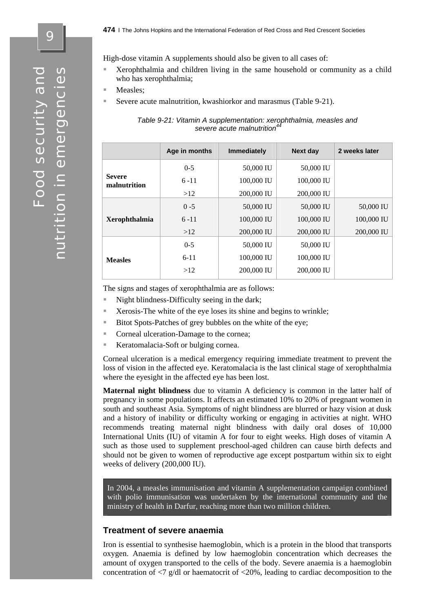9

High-dose vitamin A supplements should also be given to all cases of:

- Xerophthalmia and children living in the same household or community as a child who has xerophthalmia;
- Measles;
- Severe acute malnutrition, kwashiorkor and marasmus (Table 9-21).

| Table 9-21: Vitamin A supplementation: xerophthalmia, measles and |  |
|-------------------------------------------------------------------|--|
| severe acute malnutrition <sup>44</sup>                           |  |
|                                                                   |  |

|  |                               | Age in months | <b>Immediately</b> | <b>Next day</b> | 2 weeks later |
|--|-------------------------------|---------------|--------------------|-----------------|---------------|
|  |                               | $0 - 5$       | 50,000 IU          | 50,000 IU       |               |
|  | <b>Severe</b><br>malnutrition | $6 - 11$      | 100,000 IU         | 100,000 IU      |               |
|  |                               | >12           | 200,000 IU         | 200,000 IU      |               |
|  |                               | $0 - 5$       | 50,000 IU          | 50,000 IU       | 50,000 IU     |
|  | <b>Xerophthalmia</b>          | $6 - 11$      | 100,000 IU         | 100,000 IU      | 100,000 IU    |
|  |                               | >12           | 200,000 IU         | 200,000 IU      | 200,000 IU    |
|  |                               | $0-5$         | 50,000 IU          | 50,000 IU       |               |
|  | <b>Measles</b>                | $6 - 11$      | 100,000 IU         | 100,000 IU      |               |
|  |                               | >12           | 200,000 IU         | 200,000 IU      |               |
|  |                               |               |                    |                 |               |

The signs and stages of xerophthalmia are as follows:

- Night blindness-Difficulty seeing in the dark;
- Xerosis-The white of the eye loses its shine and begins to wrinkle;
- Bitot Spots-Patches of grey bubbles on the white of the eye;
- Corneal ulceration-Damage to the cornea;
- Keratomalacia-Soft or bulging cornea.

Corneal ulceration is a medical emergency requiring immediate treatment to prevent the loss of vision in the affected eye. Keratomalacia is the last clinical stage of xerophthalmia where the eyesight in the affected eye has been lost.

**Maternal night blindness** due to vitamin A deficiency is common in the latter half of pregnancy in some populations. It affects an estimated 10% to 20% of pregnant women in south and southeast Asia. Symptoms of night blindness are blurred or hazy vision at dusk and a history of inability or difficulty working or engaging in activities at night. WHO recommends treating maternal night blindness with daily oral doses of 10,000 International Units (IU) of vitamin A for four to eight weeks. High doses of vitamin A such as those used to supplement preschool-aged children can cause birth defects and should not be given to women of reproductive age except postpartum within six to eight weeks of delivery (200,000 IU).

In 2004, a measles immunisation and vitamin A supplementation campaign combined with polio immunisation was undertaken by the international community and the ministry of health in Darfur, reaching more than two million children.

#### **Treatment of severe anaemia**

Iron is essential to synthesise haemoglobin, which is a protein in the blood that transports oxygen. Anaemia is defined by low haemoglobin concentration which decreases the amount of oxygen transported to the cells of the body. Severe anaemia is a haemoglobin concentration of  $\langle 7 \rangle$  g/dl or haematocrit of  $\langle 20\%$ , leading to cardiac decomposition to the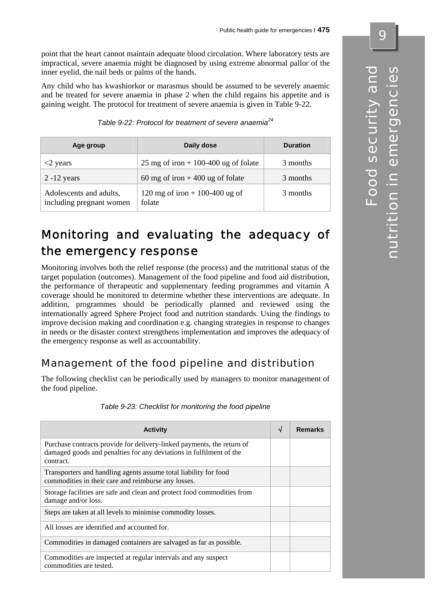point that the heart cannot maintain adequate blood circulation. Where laboratory tests are impractical, severe anaemia might be diagnosed by using extreme abnormal pallor of the inner eyelid, the nail beds or palms of the hands.

Any child who has kwashiorkor or marasmus should be assumed to be severely anaemic and be treated for severe anaemia in phase 2 when the child regains his appetite and is gaining weight. The protocol for treatment of severe anaemia is given in Table 9-22.

*Table 9-22: Protocol for treatment of severe anaemia<sup>24</sup>*

| Age group                                           | Daily dose                               | <b>Duration</b> |  |
|-----------------------------------------------------|------------------------------------------|-----------------|--|
| <2 years                                            | 25 mg of iron + 100-400 ug of folate     | 3 months        |  |
| $2 - 12$ years                                      | 60 mg of iron $+400$ ug of folate        | 3 months        |  |
| Adolescents and adults,<br>including pregnant women | 120 mg of iron + 100-400 ug of<br>folate | 3 months        |  |

# Monitoring and evaluating the adequacy of the emergency response

Monitoring involves both the relief response (the process) and the nutritional status of the target population (outcomes). Management of the food pipeline and food aid distribution, the performance of therapeutic and supplementary feeding programmes and vitamin A coverage should be monitored to determine whether these interventions are adequate. In addition, programmes should be periodically planned and reviewed using the internationally agreed Sphere Project food and nutrition standards. Using the findings to improve decision making and coordination e.g. changing strategies in response to changes in needs or the disaster context strengthens implementation and improves the adequacy of the emergency response as well as accountability.

# Management of the food pipeline and distribution

The following checklist can be periodically used by managers to monitor management of the food pipeline.

| <b>Activity</b>                                                                                                                                            | ึง | <b>Remarks</b> |
|------------------------------------------------------------------------------------------------------------------------------------------------------------|----|----------------|
| Purchase contracts provide for delivery-linked payments, the return of<br>damaged goods and penalties for any deviations in fulfilment of the<br>contract. |    |                |
| Transporters and handling agents assume total liability for food<br>commodities in their care and reimburse any losses.                                    |    |                |
| Storage facilities are safe and clean and protect food commodities from<br>damage and/or loss.                                                             |    |                |
| Steps are taken at all levels to minimise commodity losses.                                                                                                |    |                |
| All losses are identified and accounted for.                                                                                                               |    |                |
| Commodities in damaged containers are salvaged as far as possible.                                                                                         |    |                |
| Commodities are inspected at regular intervals and any suspect<br>commodities are tested.                                                                  |    |                |

*Table 9-23: Checklist for monitoring the food pipeline*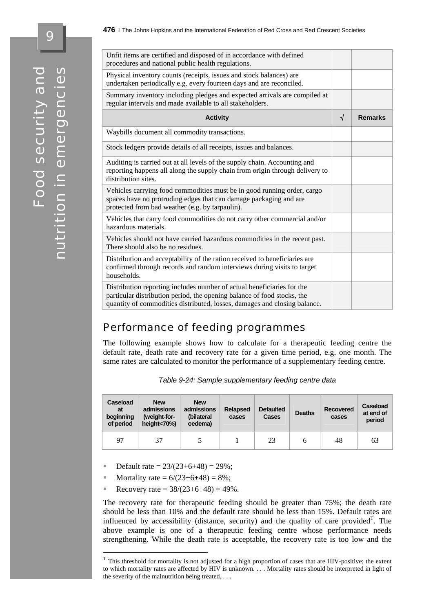| Unfit items are certified and disposed of in accordance with defined<br>procedures and national public health regulations.                                                                                                     |   |                |
|--------------------------------------------------------------------------------------------------------------------------------------------------------------------------------------------------------------------------------|---|----------------|
| Physical inventory counts (receipts, issues and stock balances) are<br>undertaken periodically e.g. every fourteen days and are reconciled.                                                                                    |   |                |
| Summary inventory including pledges and expected arrivals are compiled at<br>regular intervals and made available to all stakeholders.                                                                                         |   |                |
| <b>Activity</b>                                                                                                                                                                                                                | √ | <b>Remarks</b> |
| Waybills document all commodity transactions.                                                                                                                                                                                  |   |                |
| Stock ledgers provide details of all receipts, issues and balances.                                                                                                                                                            |   |                |
| Auditing is carried out at all levels of the supply chain. Accounting and<br>reporting happens all along the supply chain from origin through delivery to<br>distribution sites.                                               |   |                |
| Vehicles carrying food commodities must be in good running order, cargo<br>spaces have no protruding edges that can damage packaging and are<br>protected from bad weather (e.g. by tarpaulin).                                |   |                |
| Vehicles that carry food commodities do not carry other commercial and/or<br>hazardous materials.                                                                                                                              |   |                |
| Vehicles should not have carried hazardous commodities in the recent past.<br>There should also be no residues.                                                                                                                |   |                |
| Distribution and acceptability of the ration received to beneficiaries are<br>confirmed through records and random interviews during visits to target<br>households.                                                           |   |                |
| Distribution reporting includes number of actual beneficiaries for the<br>particular distribution period, the opening balance of food stocks, the<br>quantity of commodities distributed, losses, damages and closing balance. |   |                |

## Performance of feeding programmes

The following example shows how to calculate for a therapeutic feeding centre the default rate, death rate and recovery rate for a given time period, e.g. one month. The same rates are calculated to monitor the performance of a supplementary feeding centre.

|  | Table 9-24: Sample supplementary feeding centre data |  |
|--|------------------------------------------------------|--|
|  |                                                      |  |

| Caseload<br>at<br>beginning<br>of period | <b>New</b><br>admissions<br>(weight-for-<br>height<70%) | <b>New</b><br>admissions<br>(bilateral<br>oedema) | <b>Relapsed</b><br>cases | <b>Defaulted</b><br>Cases | <b>Deaths</b> | <b>Recovered</b><br>cases | Caseload<br>at end of<br>period |
|------------------------------------------|---------------------------------------------------------|---------------------------------------------------|--------------------------|---------------------------|---------------|---------------------------|---------------------------------|
| 97                                       | 37                                                      |                                                   |                          | 23                        |               | 48                        | 63                              |

- Default rate =  $23/(23+6+48) = 29\%$ ;
- Mortality rate =  $6/(23+6+48) = 8\%$ ;

<u>.</u>

Recovery rate =  $38/(23+6+48) = 49\%$ .

The recovery rate for therapeutic feeding should be greater than 75%; the death rate should be less than 10% and the default rate should be less than 15%. Default rates are influenced by accessibility (distance, security) and the quality of care provided<sup>T</sup>. The above example is one of a therapeutic feeding centre whose performance needs strengthening. While the death rate is acceptable, the recovery rate is too low and the

 $\bullet$ 

 $T$  This threshold for mortality is not adjusted for a high proportion of cases that are HIV-positive; the extent to which mortality rates are affected by HIV is unknown. . . . Mortality rates should be interpreted in light of the severity of the malnutrition being treated. . . .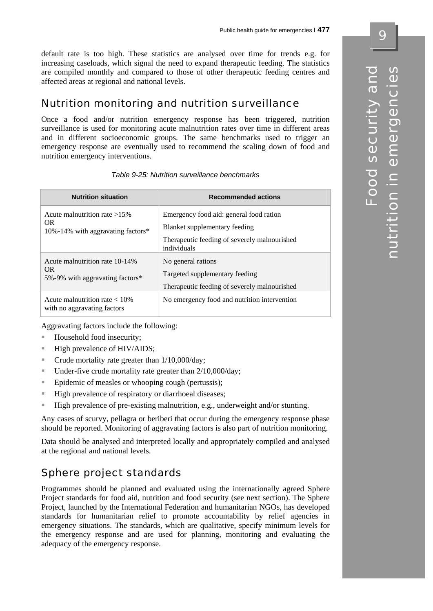default rate is too high. These statistics are analysed over time for trends e.g. for increasing caseloads, which signal the need to expand therapeutic feeding. The statistics are compiled monthly and compared to those of other therapeutic feeding centres and affected areas at regional and national levels.

# Nutrition monitoring and nutrition surveillance

Once a food and/or nutrition emergency response has been triggered, nutrition surveillance is used for monitoring acute malnutrition rates over time in different areas and in different socioeconomic groups. The same benchmarks used to trigger an emergency response are eventually used to recommend the scaling down of food and nutrition emergency interventions.

| <b>Nutrition situation</b>                                                  | <b>Recommended actions</b>                                                                                                              |
|-----------------------------------------------------------------------------|-----------------------------------------------------------------------------------------------------------------------------------------|
| Acute malnutrition rate $>15\%$<br>OR.<br>10%-14% with aggravating factors* | Emergency food aid: general food ration<br>Blanket supplementary feeding<br>Therapeutic feeding of severely malnourished<br>individuals |
| Acute malnutrition rate 10-14%<br>OR.<br>5%-9% with aggravating factors*    | No general rations<br>Targeted supplementary feeding<br>Therapeutic feeding of severely malnourished                                    |
| Acute malnutrition rate $< 10\%$<br>with no aggravating factors             | No emergency food and nutrition intervention                                                                                            |

*Table 9-25: Nutrition surveillance benchmarks* 

Aggravating factors include the following:

- Household food insecurity;
- High prevalence of HIV/AIDS;
- $\blacksquare$  Crude mortality rate greater than  $1/10,000/\text{day}$ ;
- $\blacksquare$  Under-five crude mortality rate greater than 2/10,000/day;
- **Epidemic of measles or whooping cough (pertussis);**
- High prevalence of respiratory or diarrhoeal diseases;
- High prevalence of pre-existing malnutrition, e.g., underweight and/or stunting.

Any cases of scurvy, pellagra or beriberi that occur during the emergency response phase should be reported. Monitoring of aggravating factors is also part of nutrition monitoring.

Data should be analysed and interpreted locally and appropriately compiled and analysed at the regional and national levels.

# Sphere project standards

Programmes should be planned and evaluated using the internationally agreed Sphere Project standards for food aid, nutrition and food security (see next section). The Sphere Project, launched by the International Federation and humanitarian NGOs, has developed standards for humanitarian relief to promote accountability by relief agencies in emergency situations. The standards, which are qualitative, specify minimum levels for the emergency response and are used for planning, monitoring and evaluating the adequacy of the emergency response.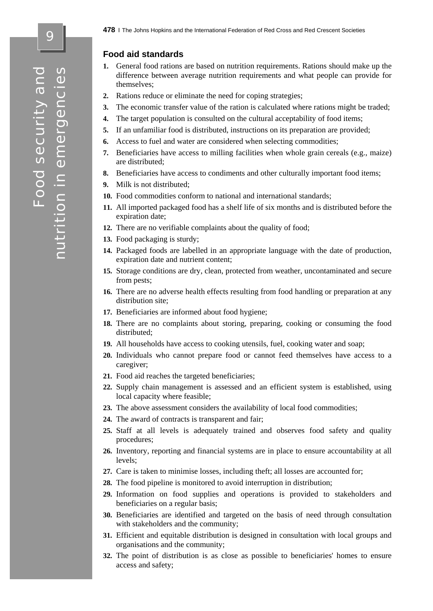#### **Food aid standards**

- **1.** General food rations are based on nutrition requirements. Rations should make up the difference between average nutrition requirements and what people can provide for themselves;
- **2.** Rations reduce or eliminate the need for coping strategies;
- **3.** The economic transfer value of the ration is calculated where rations might be traded;
- **4.** The target population is consulted on the cultural acceptability of food items;
- **5.** If an unfamiliar food is distributed, instructions on its preparation are provided;
- **6.** Access to fuel and water are considered when selecting commodities;
- **7.** Beneficiaries have access to milling facilities when whole grain cereals (e.g., maize) are distributed;
- **8.** Beneficiaries have access to condiments and other culturally important food items;
- **9.** Milk is not distributed;
- **10.** Food commodities conform to national and international standards;
- **11.** All imported packaged food has a shelf life of six months and is distributed before the expiration date;
- **12.** There are no verifiable complaints about the quality of food;
- **13.** Food packaging is sturdy;
- **14.** Packaged foods are labelled in an appropriate language with the date of production, expiration date and nutrient content;
- **15.** Storage conditions are dry, clean, protected from weather, uncontaminated and secure from pests;
- **16.** There are no adverse health effects resulting from food handling or preparation at any distribution site;
- **17.** Beneficiaries are informed about food hygiene;
- **18.** There are no complaints about storing, preparing, cooking or consuming the food distributed;
- **19.** All households have access to cooking utensils, fuel, cooking water and soap;
- **20.** Individuals who cannot prepare food or cannot feed themselves have access to a caregiver;
- **21.** Food aid reaches the targeted beneficiaries;
- **22.** Supply chain management is assessed and an efficient system is established, using local capacity where feasible;
- **23.** The above assessment considers the availability of local food commodities;
- **24.** The award of contracts is transparent and fair;
- **25.** Staff at all levels is adequately trained and observes food safety and quality procedures;
- **26.** Inventory, reporting and financial systems are in place to ensure accountability at all levels;
- **27.** Care is taken to minimise losses, including theft; all losses are accounted for;
- **28.** The food pipeline is monitored to avoid interruption in distribution;
- **29.** Information on food supplies and operations is provided to stakeholders and beneficiaries on a regular basis;
- **30.** Beneficiaries are identified and targeted on the basis of need through consultation with stakeholders and the community;
- **31.** Efficient and equitable distribution is designed in consultation with local groups and organisations and the community;
- **32.** The point of distribution is as close as possible to beneficiaries' homes to ensure access and safety;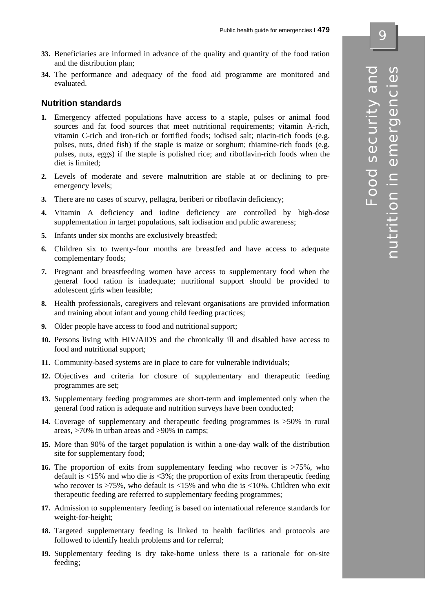- **33.** Beneficiaries are informed in advance of the quality and quantity of the food ration and the distribution plan;
- **34.** The performance and adequacy of the food aid programme are monitored and evaluated.

#### **Nutrition standards**

- **1.** Emergency affected populations have access to a staple, pulses or animal food sources and fat food sources that meet nutritional requirements; vitamin A-rich, vitamin C-rich and iron-rich or fortified foods; iodised salt; niacin-rich foods (e.g. pulses, nuts, dried fish) if the staple is maize or sorghum; thiamine-rich foods (e.g. pulses, nuts, eggs) if the staple is polished rice; and riboflavin-rich foods when the diet is limited;
- **2.** Levels of moderate and severe malnutrition are stable at or declining to preemergency levels;
- **3.** There are no cases of scurvy, pellagra, beriberi or riboflavin deficiency;
- **4.** Vitamin A deficiency and iodine deficiency are controlled by high-dose supplementation in target populations, salt iodisation and public awareness;
- **5.** Infants under six months are exclusively breastfed;
- **6.** Children six to twenty-four months are breastfed and have access to adequate complementary foods;
- **7.** Pregnant and breastfeeding women have access to supplementary food when the general food ration is inadequate; nutritional support should be provided to adolescent girls when feasible;
- **8.** Health professionals, caregivers and relevant organisations are provided information and training about infant and young child feeding practices;
- **9.** Older people have access to food and nutritional support;
- **10.** Persons living with HIV/AIDS and the chronically ill and disabled have access to food and nutritional support;
- **11.** Community-based systems are in place to care for vulnerable individuals;
- **12.** Objectives and criteria for closure of supplementary and therapeutic feeding programmes are set;
- **13.** Supplementary feeding programmes are short-term and implemented only when the general food ration is adequate and nutrition surveys have been conducted;
- **14.** Coverage of supplementary and therapeutic feeding programmes is >50% in rural areas, >70% in urban areas and >90% in camps;
- **15.** More than 90% of the target population is within a one-day walk of the distribution site for supplementary food;
- **16.** The proportion of exits from supplementary feeding who recover is  $>75\%$ , who default is  $\langle 15\% \rangle$  and who die is  $\langle 3\% \rangle$ ; the proportion of exits from therapeutic feeding who recover is >75%, who default is <15% and who die is <10%. Children who exit therapeutic feeding are referred to supplementary feeding programmes;
- **17.** Admission to supplementary feeding is based on international reference standards for weight-for-height;
- **18.** Targeted supplementary feeding is linked to health facilities and protocols are followed to identify health problems and for referral;
- **19.** Supplementary feeding is dry take-home unless there is a rationale for on-site feeding;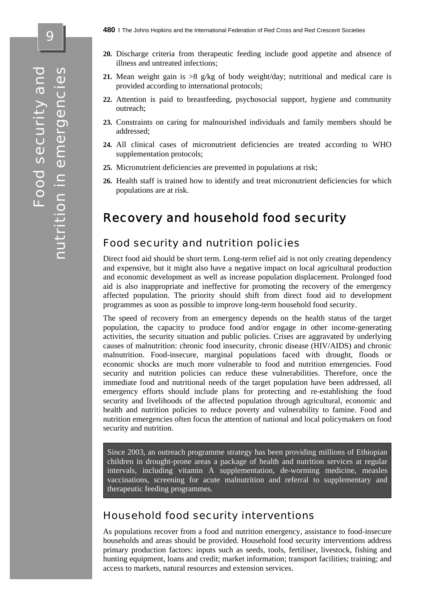- **21.** Mean weight gain is  $>8$  g/kg of body weight/day; nutritional and medical care is provided according to international protocols;
- **22.** Attention is paid to breastfeeding, psychosocial support, hygiene and community outreach;
- **23.** Constraints on caring for malnourished individuals and family members should be addressed;
- **24.** All clinical cases of micronutrient deficiencies are treated according to WHO supplementation protocols;
- **25.** Micronutrient deficiencies are prevented in populations at risk;
- **26.** Health staff is trained how to identify and treat micronutrient deficiencies for which populations are at risk.

## Recovery and household food security

#### Food security and nutrition policies

Direct food aid should be short term. Long-term relief aid is not only creating dependency and expensive, but it might also have a negative impact on local agricultural production and economic development as well as increase population displacement. Prolonged food aid is also inappropriate and ineffective for promoting the recovery of the emergency affected population. The priority should shift from direct food aid to development programmes as soon as possible to improve long-term household food security.

The speed of recovery from an emergency depends on the health status of the target population, the capacity to produce food and/or engage in other income-generating activities, the security situation and public policies. Crises are aggravated by underlying causes of malnutrition: chronic food insecurity, chronic disease (HIV/AIDS) and chronic malnutrition. Food-insecure, marginal populations faced with drought, floods or economic shocks are much more vulnerable to food and nutrition emergencies. Food security and nutrition policies can reduce these vulnerabilities. Therefore, once the immediate food and nutritional needs of the target population have been addressed, all emergency efforts should include plans for protecting and re-establishing the food security and livelihoods of the affected population through agricultural, economic and health and nutrition policies to reduce poverty and vulnerability to famine. Food and nutrition emergencies often focus the attention of national and local policymakers on food security and nutrition.

Since 2003, an outreach programme strategy has been providing millions of Ethiopian children in drought-prone areas a package of health and nutrition services at regular intervals, including vitamin A supplementation, de-worming medicine, measles vaccinations, screening for acute malnutrition and referral to supplementary and therapeutic feeding programmes.

### Household food security interventions

As populations recover from a food and nutrition emergency, assistance to food-insecure households and areas should be provided. Household food security interventions address primary production factors: inputs such as seeds, tools, fertiliser, livestock, fishing and hunting equipment, loans and credit; market information; transport facilities; training; and access to markets, natural resources and extension services.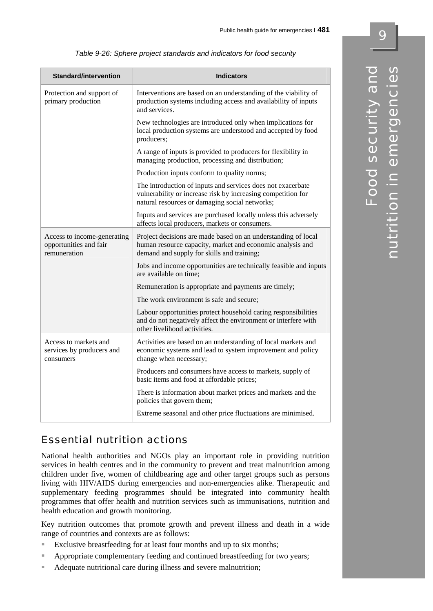| Standard/intervention                                                 | <b>Indicators</b>                                                                                                                                                             |
|-----------------------------------------------------------------------|-------------------------------------------------------------------------------------------------------------------------------------------------------------------------------|
| Protection and support of<br>primary production                       | Interventions are based on an understanding of the viability of<br>production systems including access and availability of inputs<br>and services.                            |
|                                                                       | New technologies are introduced only when implications for<br>local production systems are understood and accepted by food<br>producers;                                      |
|                                                                       | A range of inputs is provided to producers for flexibility in<br>managing production, processing and distribution;                                                            |
|                                                                       | Production inputs conform to quality norms;                                                                                                                                   |
|                                                                       | The introduction of inputs and services does not exacerbate<br>vulnerability or increase risk by increasing competition for<br>natural resources or damaging social networks; |
|                                                                       | Inputs and services are purchased locally unless this adversely<br>affects local producers, markets or consumers.                                                             |
| Access to income-generating<br>opportunities and fair<br>remuneration | Project decisions are made based on an understanding of local<br>human resource capacity, market and economic analysis and<br>demand and supply for skills and training;      |
|                                                                       | Jobs and income opportunities are technically feasible and inputs<br>are available on time:                                                                                   |
|                                                                       | Remuneration is appropriate and payments are timely;                                                                                                                          |
|                                                                       | The work environment is safe and secure;                                                                                                                                      |
|                                                                       | Labour opportunities protect household caring responsibilities<br>and do not negatively affect the environment or interfere with<br>other livelihood activities.              |
| Access to markets and<br>services by producers and<br>consumers       | Activities are based on an understanding of local markets and<br>economic systems and lead to system improvement and policy<br>change when necessary;                         |
|                                                                       | Producers and consumers have access to markets, supply of<br>basic items and food at affordable prices;                                                                       |
|                                                                       | There is information about market prices and markets and the<br>policies that govern them;                                                                                    |
|                                                                       | Extreme seasonal and other price fluctuations are minimised.                                                                                                                  |

|  |  |  | Table 9-26: Sphere project standards and indicators for food security |
|--|--|--|-----------------------------------------------------------------------|
|--|--|--|-----------------------------------------------------------------------|

## Essential nutrition actions

National health authorities and NGOs play an important role in providing nutrition services in health centres and in the community to prevent and treat malnutrition among children under five, women of childbearing age and other target groups such as persons living with HIV/AIDS during emergencies and non-emergencies alike. Therapeutic and supplementary feeding programmes should be integrated into community health programmes that offer health and nutrition services such as immunisations, nutrition and health education and growth monitoring.

Key nutrition outcomes that promote growth and prevent illness and death in a wide range of countries and contexts are as follows:

- Exclusive breastfeeding for at least four months and up to six months;
- **Appropriate complementary feeding and continued breastfeeding for two years;**
- Adequate nutritional care during illness and severe malnutrition;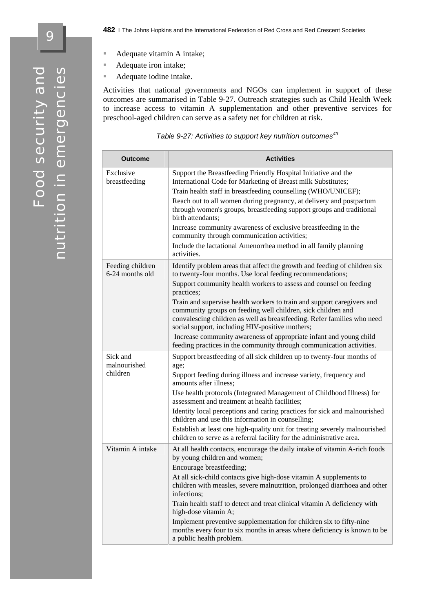9

- Adequate vitamin A intake;
- Adequate iron intake;
- Adequate iodine intake.

Activities that national governments and NGOs can implement in support of these outcomes are summarised in Table 9-27. Outreach strategies such as Child Health Week to increase access to vitamin A supplementation and other preventive services for preschool-aged children can serve as a safety net for children at risk.

| Table 9-27: Activities to support key nutrition outcomes <sup>43</sup> |  |  |  |
|------------------------------------------------------------------------|--|--|--|
|                                                                        |  |  |  |

| Outcome                              | <b>Activities</b>                                                                                                                                                                                                                                                                                                                                                                                                                                                                                                                                                                                                                               |
|--------------------------------------|-------------------------------------------------------------------------------------------------------------------------------------------------------------------------------------------------------------------------------------------------------------------------------------------------------------------------------------------------------------------------------------------------------------------------------------------------------------------------------------------------------------------------------------------------------------------------------------------------------------------------------------------------|
| Exclusive<br>breastfeeding           | Support the Breastfeeding Friendly Hospital Initiative and the<br>International Code for Marketing of Breast milk Substitutes;<br>Train health staff in breastfeeding counselling (WHO/UNICEF);<br>Reach out to all women during pregnancy, at delivery and postpartum<br>through women's groups, breastfeeding support groups and traditional<br>birth attendants;<br>Increase community awareness of exclusive breastfeeding in the<br>community through communication activities;<br>Include the lactational Amenorrhea method in all family planning<br>activities.                                                                         |
| Feeding children<br>6-24 months old  | Identify problem areas that affect the growth and feeding of children six<br>to twenty-four months. Use local feeding recommendations;<br>Support community health workers to assess and counsel on feeding<br>practices;<br>Train and supervise health workers to train and support caregivers and<br>community groups on feeding well children, sick children and<br>convalescing children as well as breastfeeding. Refer families who need<br>social support, including HIV-positive mothers;<br>Increase community awareness of appropriate infant and young child<br>feeding practices in the community through communication activities. |
| Sick and<br>malnourished<br>children | Support breastfeeding of all sick children up to twenty-four months of<br>age;<br>Support feeding during illness and increase variety, frequency and<br>amounts after illness;<br>Use health protocols (Integrated Management of Childhood Illness) for<br>assessment and treatment at health facilities;<br>Identity local perceptions and caring practices for sick and malnourished<br>children and use this information in counselling;<br>Establish at least one high-quality unit for treating severely malnourished<br>children to serve as a referral facility for the administrative area.                                             |
| Vitamin A intake                     | At all health contacts, encourage the daily intake of vitamin A-rich foods<br>by young children and women;<br>Encourage breastfeeding;<br>At all sick-child contacts give high-dose vitamin A supplements to<br>children with measles, severe malnutrition, prolonged diarrhoea and other<br>infections;<br>Train health staff to detect and treat clinical vitamin A deficiency with<br>high-dose vitamin A;<br>Implement preventive supplementation for children six to fifty-nine<br>months every four to six months in areas where deficiency is known to be<br>a public health problem.                                                    |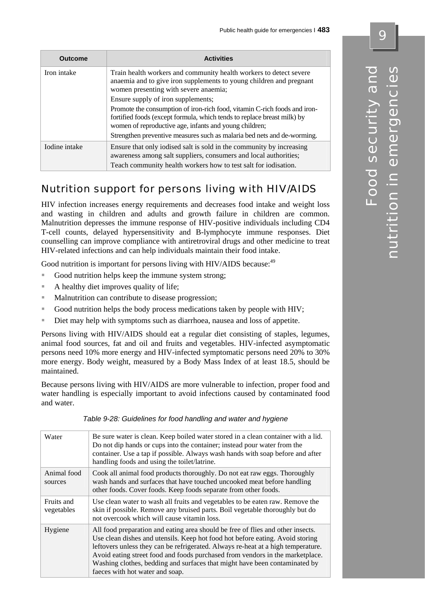| <b>Outcome</b> | <b>Activities</b>                                                                                                                                                                                              |
|----------------|----------------------------------------------------------------------------------------------------------------------------------------------------------------------------------------------------------------|
| Iron intake    | Train health workers and community health workers to detect severe<br>anaemia and to give iron supplements to young children and pregnant<br>women presenting with severe anaemia;                             |
|                | Ensure supply of iron supplements;                                                                                                                                                                             |
|                | Promote the consumption of iron-rich food, vitamin C-rich foods and iron-<br>fortified foods (except formula, which tends to replace breast milk) by<br>women of reproductive age, infants and young children; |
|                | Strengthen preventive measures such as malaria bed nets and de-worming.                                                                                                                                        |
| Iodine intake  | Ensure that only iodised salt is sold in the community by increasing<br>awareness among salt suppliers, consumers and local authorities;<br>Teach community health workers how to test salt for iodisation.    |

# Nutrition support for persons living with HIV/AIDS

HIV infection increases energy requirements and decreases food intake and weight loss and wasting in children and adults and growth failure in children are common. Malnutrition depresses the immune response of HIV-positive individuals including CD4 T-cell counts, delayed hypersensitivity and B-lymphocyte immune responses. Diet counselling can improve compliance with antiretroviral drugs and other medicine to treat HIV-related infections and can help individuals maintain their food intake.

Good nutrition is important for persons living with HIV/AIDS because:<sup>49</sup>

- Good nutrition helps keep the immune system strong;
- A healthy diet improves quality of life;
- **Malnutrition can contribute to disease progression;**
- Good nutrition helps the body process medications taken by people with  $HIV$ ;
- Diet may help with symptoms such as diarrhoea, nausea and loss of appetite.

Persons living with HIV/AIDS should eat a regular diet consisting of staples, legumes, animal food sources, fat and oil and fruits and vegetables. HIV-infected asymptomatic persons need 10% more energy and HIV-infected symptomatic persons need 20% to 30% more energy. Body weight, measured by a Body Mass Index of at least 18.5, should be maintained.

Because persons living with HIV/AIDS are more vulnerable to infection, proper food and water handling is especially important to avoid infections caused by contaminated food and water.

| Water                    | Be sure water is clean. Keep boiled water stored in a clean container with a lid.<br>Do not dip hands or cups into the container; instead pour water from the<br>container. Use a tap if possible. Always wash hands with soap before and after<br>handling foods and using the toilet/latrine.                                                                                                                                                        |
|--------------------------|--------------------------------------------------------------------------------------------------------------------------------------------------------------------------------------------------------------------------------------------------------------------------------------------------------------------------------------------------------------------------------------------------------------------------------------------------------|
| Animal food<br>sources   | Cook all animal food products thoroughly. Do not eat raw eggs. Thoroughly<br>wash hands and surfaces that have touched uncooked meat before handling<br>other foods. Cover foods. Keep foods separate from other foods.                                                                                                                                                                                                                                |
| Fruits and<br>vegetables | Use clean water to wash all fruits and vegetables to be eaten raw. Remove the<br>skin if possible. Remove any bruised parts. Boil vegetable thoroughly but do<br>not overcook which will cause vitamin loss.                                                                                                                                                                                                                                           |
| Hygiene                  | All food preparation and eating area should be free of flies and other insects.<br>Use clean dishes and utensils. Keep hot food hot before eating. Avoid storing<br>leftovers unless they can be refrigerated. Always re-heat at a high temperature.<br>Avoid eating street food and foods purchased from vendors in the marketplace.<br>Washing clothes, bedding and surfaces that might have been contaminated by<br>faeces with hot water and soap. |

*Table 9-28: Guidelines for food handling and water and hygiene*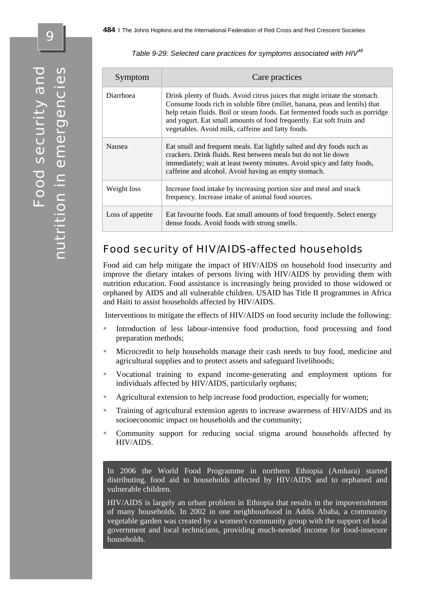Symptom Care practices Diarrhoea Drink plenty of fluids. Avoid citrus juices that might irritate the stomach. Consume foods rich in soluble fibre (millet, banana, peas and lentils) that help retain fluids. Boil or steam foods. Eat fermented foods such as porridge and yogurt. Eat small amounts of food frequently. Eat soft fruits and vegetables. Avoid milk, caffeine and fatty foods. Nausea Eat small and frequent meals. Eat lightly salted and dry foods such as crackers. Drink fluids. Rest between meals but do not lie down immediately; wait at least twenty minutes. Avoid spicy and fatty foods, caffeine and alcohol. Avoid having an empty stomach. Weight loss Increase food intake by increasing portion size and meal and snack frequency. Increase intake of animal food sources. Loss of appetite Eat favourite foods. Eat small amounts of food frequently. Select energy dense foods. Avoid foods with strong smells.

*Table 9-29: Selected care practices for symptoms associated with HIV48*

## Food security of HIV/AIDS-affected households

Food aid can help mitigate the impact of HIV/AIDS on household food insecurity and improve the dietary intakes of persons living with HIV/AIDS by providing them with nutrition education. Food assistance is increasingly being provided to those widowed or orphaned by AIDS and all vulnerable children. USAID has Title II programmes in Africa and Haiti to assist households affected by HIV/AIDS.

Interventions to mitigate the effects of HIV/AIDS on food security include the following:

- Introduction of less labour-intensive food production, food processing and food preparation methods;
- Microcredit to help households manage their cash needs to buy food, medicine and agricultural supplies and to protect assets and safeguard livelihoods;
- Vocational training to expand income-generating and employment options for individuals affected by HIV/AIDS, particularly orphans;
- Agricultural extension to help increase food production, especially for women;
- Training of agricultural extension agents to increase awareness of HIV/AIDS and its socioeconomic impact on households and the community;
- Community support for reducing social stigma around households affected by HIV/AIDS.

In 2006 the World Food Programme in northern Ethiopia (Amhara) started distributing, food aid to households affected by HIV/AIDS and to orphaned and vulnerable children.

HIV/AIDS is largely an urban problem in Ethiopia that results in the impoverishment of many households. In 2002 in one neighbourhood in Addis Ababa, a community vegetable garden was created by a women's community group with the support of local government and local technicians, providing much-needed income for food-insecure households.

 $\overline{\mathbf{e}}$